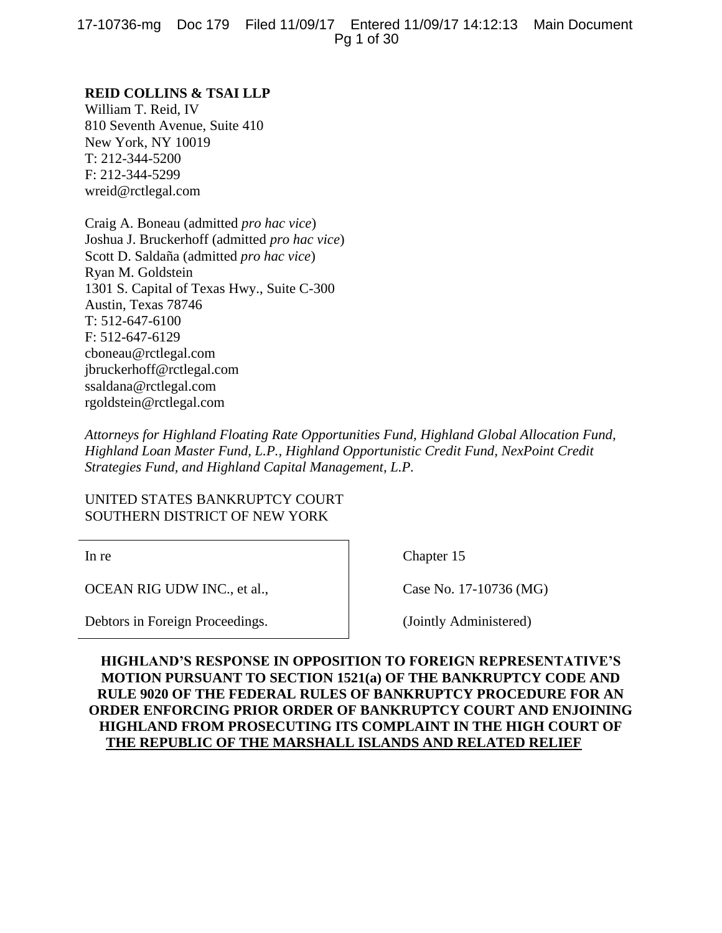17-10736-mg Doc 179 Filed 11/09/17 Entered 11/09/17 14:12:13 Main Document Pg 1 of 30

# **REID COLLINS & TSAI LLP**

William T. Reid, IV 810 Seventh Avenue, Suite 410 New York, NY 10019 T: 212-344-5200 F: 212-344-5299 wreid@rctlegal.com

Craig A. Boneau (admitted *pro hac vice*) Joshua J. Bruckerhoff (admitted *pro hac vice*) Scott D. Saldaña (admitted *pro hac vice*) Ryan M. Goldstein 1301 S. Capital of Texas Hwy., Suite C-300 Austin, Texas 78746 T: 512-647-6100 F: 512-647-6129 cboneau@rctlegal.com jbruckerhoff@rctlegal.com ssaldana@rctlegal.com rgoldstein@rctlegal.com

*Attorneys for Highland Floating Rate Opportunities Fund, Highland Global Allocation Fund, Highland Loan Master Fund, L.P., Highland Opportunistic Credit Fund, NexPoint Credit Strategies Fund, and Highland Capital Management, L.P.*

UNITED STATES BANKRUPTCY COURT SOUTHERN DISTRICT OF NEW YORK

In re

OCEAN RIG UDW INC., et al.,

Debtors in Foreign Proceedings.

Chapter 15

Case No. 17-10736 (MG)

(Jointly Administered)

**HIGHLAND'S RESPONSE IN OPPOSITION TO FOREIGN REPRESENTATIVE'S MOTION PURSUANT TO SECTION 1521(a) OF THE BANKRUPTCY CODE AND RULE 9020 OF THE FEDERAL RULES OF BANKRUPTCY PROCEDURE FOR AN ORDER ENFORCING PRIOR ORDER OF BANKRUPTCY COURT AND ENJOINING HIGHLAND FROM PROSECUTING ITS COMPLAINT IN THE HIGH COURT OF THE REPUBLIC OF THE MARSHALL ISLANDS AND RELATED RELIEF**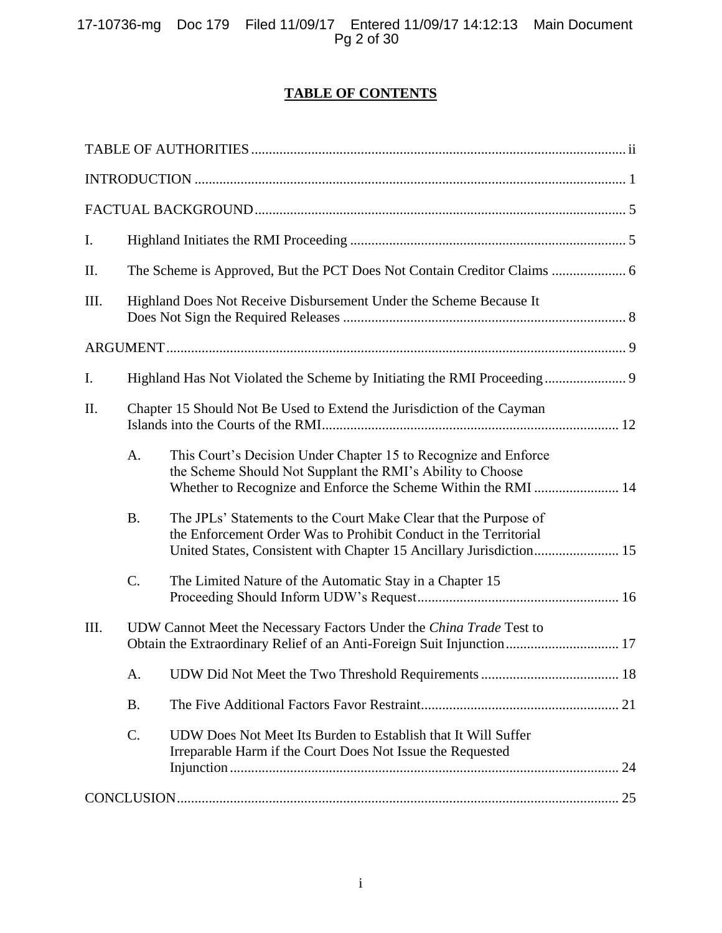# **TABLE OF CONTENTS**

| I.   |                                                                        |                                                                                                                                                                                                             |  |  |
|------|------------------------------------------------------------------------|-------------------------------------------------------------------------------------------------------------------------------------------------------------------------------------------------------------|--|--|
| II.  |                                                                        |                                                                                                                                                                                                             |  |  |
| III. | Highland Does Not Receive Disbursement Under the Scheme Because It     |                                                                                                                                                                                                             |  |  |
|      |                                                                        |                                                                                                                                                                                                             |  |  |
| Ι.   |                                                                        | Highland Has Not Violated the Scheme by Initiating the RMI Proceeding 9                                                                                                                                     |  |  |
| Π.   | Chapter 15 Should Not Be Used to Extend the Jurisdiction of the Cayman |                                                                                                                                                                                                             |  |  |
|      | A.                                                                     | This Court's Decision Under Chapter 15 to Recognize and Enforce<br>the Scheme Should Not Supplant the RMI's Ability to Choose<br>Whether to Recognize and Enforce the Scheme Within the RMI  14             |  |  |
|      | <b>B.</b>                                                              | The JPLs' Statements to the Court Make Clear that the Purpose of<br>the Enforcement Order Was to Prohibit Conduct in the Territorial<br>United States, Consistent with Chapter 15 Ancillary Jurisdiction 15 |  |  |
|      | C.                                                                     | The Limited Nature of the Automatic Stay in a Chapter 15                                                                                                                                                    |  |  |
| III. |                                                                        | UDW Cannot Meet the Necessary Factors Under the China Trade Test to<br>Obtain the Extraordinary Relief of an Anti-Foreign Suit Injunction 17                                                                |  |  |
|      | A.                                                                     |                                                                                                                                                                                                             |  |  |
|      | <b>B.</b>                                                              |                                                                                                                                                                                                             |  |  |
|      | C.                                                                     | UDW Does Not Meet Its Burden to Establish that It Will Suffer<br>Irreparable Harm if the Court Does Not Issue the Requested                                                                                 |  |  |
|      |                                                                        |                                                                                                                                                                                                             |  |  |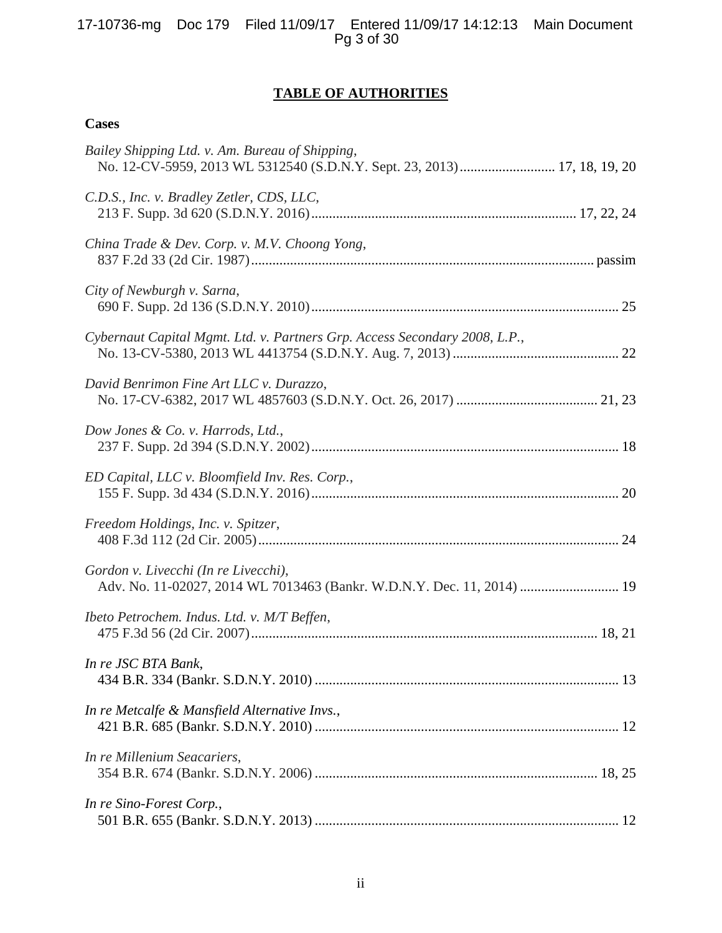# **TABLE OF AUTHORITIES**

# <span id="page-2-0"></span>**Cases**

| Bailey Shipping Ltd. v. Am. Bureau of Shipping,<br>No. 12-CV-5959, 2013 WL 5312540 (S.D.N.Y. Sept. 23, 2013) 17, 18, 19, 20 |
|-----------------------------------------------------------------------------------------------------------------------------|
| C.D.S., Inc. v. Bradley Zetler, CDS, LLC,                                                                                   |
| China Trade & Dev. Corp. v. M.V. Choong Yong,                                                                               |
| City of Newburgh v. Sarna,                                                                                                  |
| Cybernaut Capital Mgmt. Ltd. v. Partners Grp. Access Secondary 2008, L.P.,                                                  |
| David Benrimon Fine Art LLC v. Durazzo,                                                                                     |
| Dow Jones & Co. v. Harrods, Ltd.,                                                                                           |
| ED Capital, LLC v. Bloomfield Inv. Res. Corp.,                                                                              |
| Freedom Holdings, Inc. v. Spitzer,                                                                                          |
| Gordon v. Livecchi (In re Livecchi),<br>Adv. No. 11-02027, 2014 WL 7013463 (Bankr. W.D.N.Y. Dec. 11, 2014)  19              |
| Ibeto Petrochem. Indus. Ltd. v. M/T Beffen,                                                                                 |
| In re JSC BTA Bank,                                                                                                         |
| In re Metcalfe & Mansfield Alternative Invs.,                                                                               |
| In re Millenium Seacariers,                                                                                                 |
| In re Sino-Forest Corp.,                                                                                                    |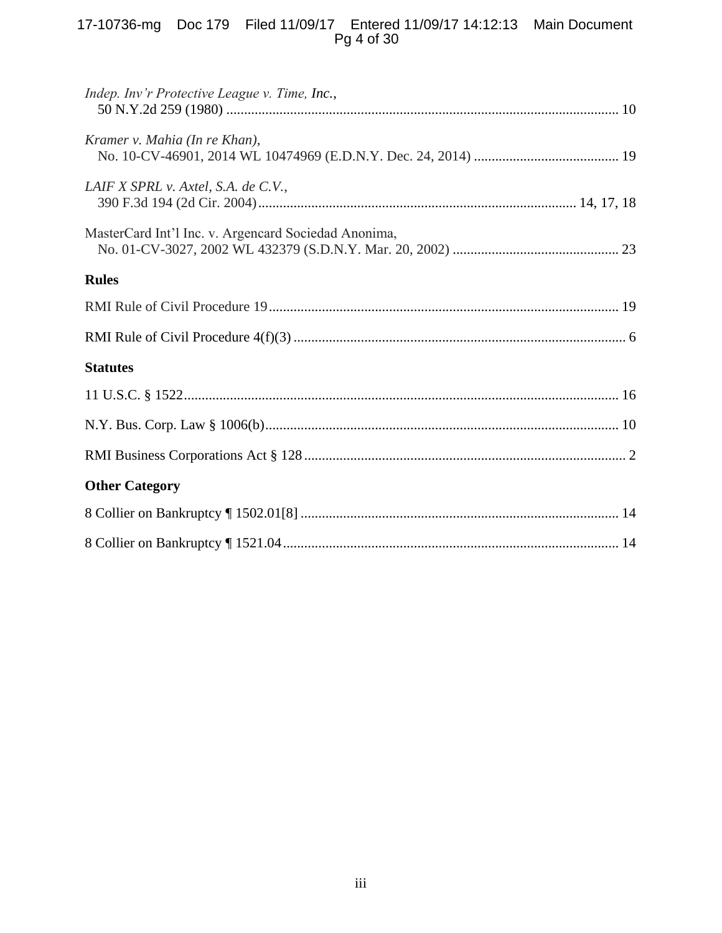# 17-10736-mg Doc 179 Filed 11/09/17 Entered 11/09/17 14:12:13 Main Document Pg 4 of 30

| Indep. Inv'r Protective League v. Time, Inc.,        |  |  |  |
|------------------------------------------------------|--|--|--|
| Kramer v. Mahia (In re Khan),                        |  |  |  |
| LAIF X SPRL v. Axtel, S.A. de C.V.,                  |  |  |  |
| MasterCard Int'l Inc. v. Argencard Sociedad Anonima, |  |  |  |
| <b>Rules</b>                                         |  |  |  |
|                                                      |  |  |  |
|                                                      |  |  |  |
| <b>Statutes</b>                                      |  |  |  |
|                                                      |  |  |  |
|                                                      |  |  |  |
|                                                      |  |  |  |
| <b>Other Category</b>                                |  |  |  |
|                                                      |  |  |  |
|                                                      |  |  |  |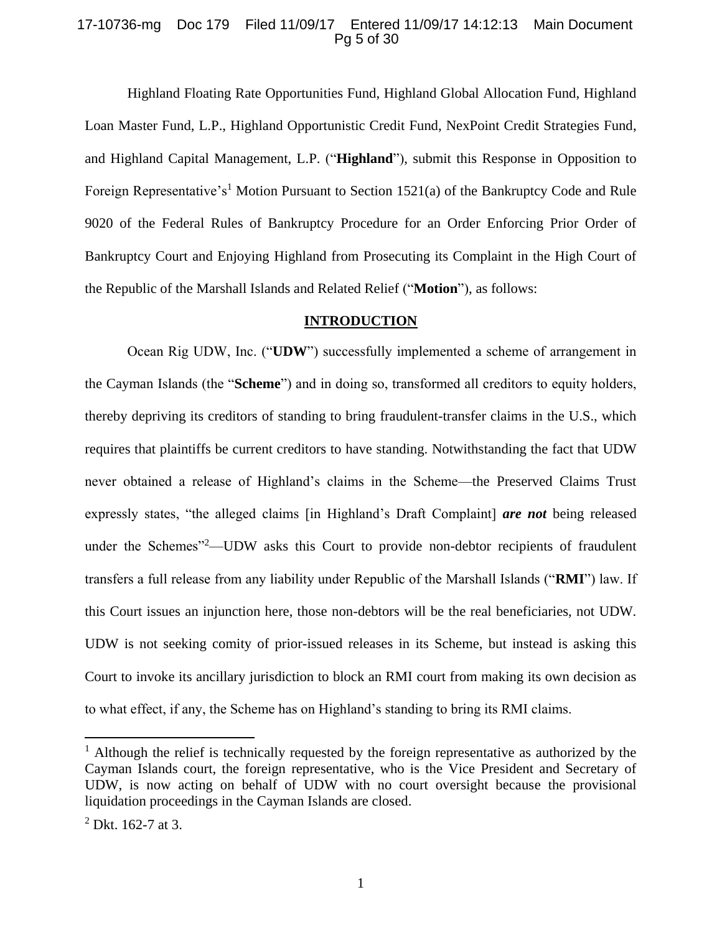### 17-10736-mg Doc 179 Filed 11/09/17 Entered 11/09/17 14:12:13 Main Document Pg 5 of 30

Highland Floating Rate Opportunities Fund, Highland Global Allocation Fund, Highland Loan Master Fund, L.P., Highland Opportunistic Credit Fund, NexPoint Credit Strategies Fund, and Highland Capital Management, L.P. ("**Highland**"), submit this Response in Opposition to Foreign Representative's<sup>1</sup> Motion Pursuant to Section 1521(a) of the Bankruptcy Code and Rule 9020 of the Federal Rules of Bankruptcy Procedure for an Order Enforcing Prior Order of Bankruptcy Court and Enjoying Highland from Prosecuting its Complaint in the High Court of the Republic of the Marshall Islands and Related Relief ("**Motion**"), as follows:

#### **INTRODUCTION**

<span id="page-4-0"></span>Ocean Rig UDW, Inc. ("**UDW**") successfully implemented a scheme of arrangement in the Cayman Islands (the "**Scheme**") and in doing so, transformed all creditors to equity holders, thereby depriving its creditors of standing to bring fraudulent-transfer claims in the U.S., which requires that plaintiffs be current creditors to have standing. Notwithstanding the fact that UDW never obtained a release of Highland's claims in the Scheme—the Preserved Claims Trust expressly states, "the alleged claims [in Highland's Draft Complaint] *are not* being released under the Schemes"<sup>2</sup>—UDW asks this Court to provide non-debtor recipients of fraudulent transfers a full release from any liability under Republic of the Marshall Islands ("**RMI**") law. If this Court issues an injunction here, those non-debtors will be the real beneficiaries, not UDW. UDW is not seeking comity of prior-issued releases in its Scheme, but instead is asking this Court to invoke its ancillary jurisdiction to block an RMI court from making its own decision as to what effect, if any, the Scheme has on Highland's standing to bring its RMI claims.

<sup>&</sup>lt;sup>1</sup> Although the relief is technically requested by the foreign representative as authorized by the Cayman Islands court, the foreign representative, who is the Vice President and Secretary of UDW, is now acting on behalf of UDW with no court oversight because the provisional liquidation proceedings in the Cayman Islands are closed.

 $^{2}$  Dkt. 162-7 at 3.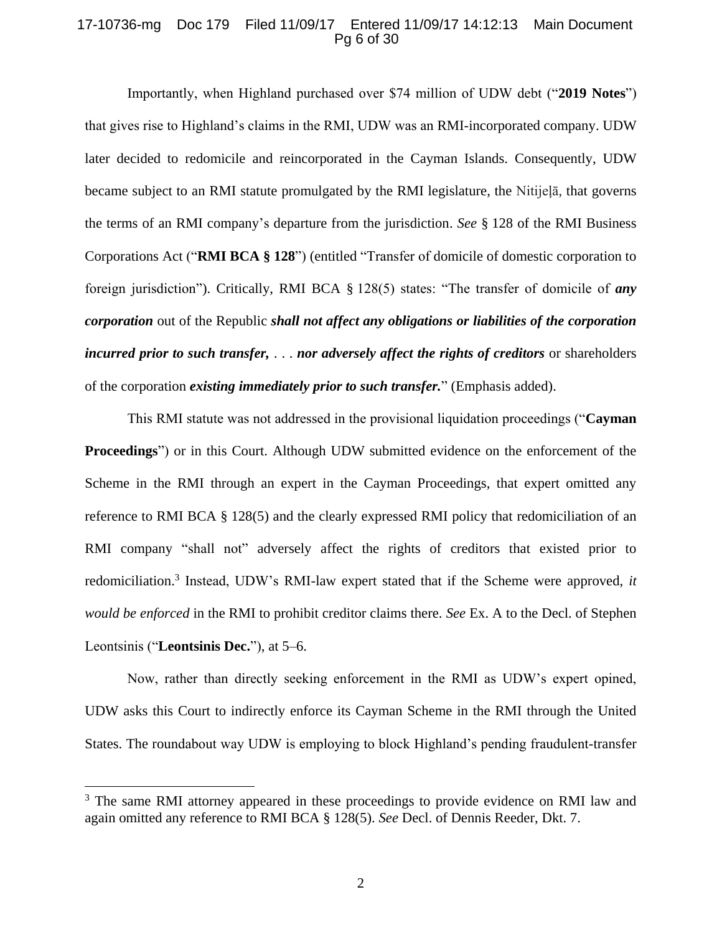### 17-10736-mg Doc 179 Filed 11/09/17 Entered 11/09/17 14:12:13 Main Document Pg 6 of 30

Importantly, when Highland purchased over \$74 million of UDW debt ("**2019 Notes**") that gives rise to Highland's claims in the RMI, UDW was an RMI-incorporated company. UDW later decided to redomicile and reincorporated in the Cayman Islands. Consequently, UDW became subject to an RMI statute promulgated by the RMI legislature, the Nitijeļā, that governs the terms of an RMI company's departure from the jurisdiction. *See* § 128 of the RMI Business Corporations Act ("**RMI BCA § 128**") (entitled "Transfer of domicile of domestic corporation to foreign jurisdiction"). Critically, RMI BCA § 128(5) states: "The transfer of domicile of *any corporation* out of the Republic *shall not affect any obligations or liabilities of the corporation incurred prior to such transfer,* . . . *nor adversely affect the rights of creditors* or shareholders of the corporation *existing immediately prior to such transfer.*" (Emphasis added).

This RMI statute was not addressed in the provisional liquidation proceedings ("**Cayman Proceedings**") or in this Court. Although UDW submitted evidence on the enforcement of the Scheme in the RMI through an expert in the Cayman Proceedings, that expert omitted any reference to RMI BCA § 128(5) and the clearly expressed RMI policy that redomiciliation of an RMI company "shall not" adversely affect the rights of creditors that existed prior to redomiciliation. 3 Instead, UDW's RMI-law expert stated that if the Scheme were approved, *it would be enforced* in the RMI to prohibit creditor claims there. *See* Ex. A to the Decl. of Stephen Leontsinis ("**Leontsinis Dec.**"), at 5–6.

Now, rather than directly seeking enforcement in the RMI as UDW's expert opined, UDW asks this Court to indirectly enforce its Cayman Scheme in the RMI through the United States. The roundabout way UDW is employing to block Highland's pending fraudulent-transfer

 $\overline{a}$ 

<sup>&</sup>lt;sup>3</sup> The same RMI attorney appeared in these proceedings to provide evidence on RMI law and again omitted any reference to RMI BCA § 128(5). *See* Decl. of Dennis Reeder, Dkt. 7.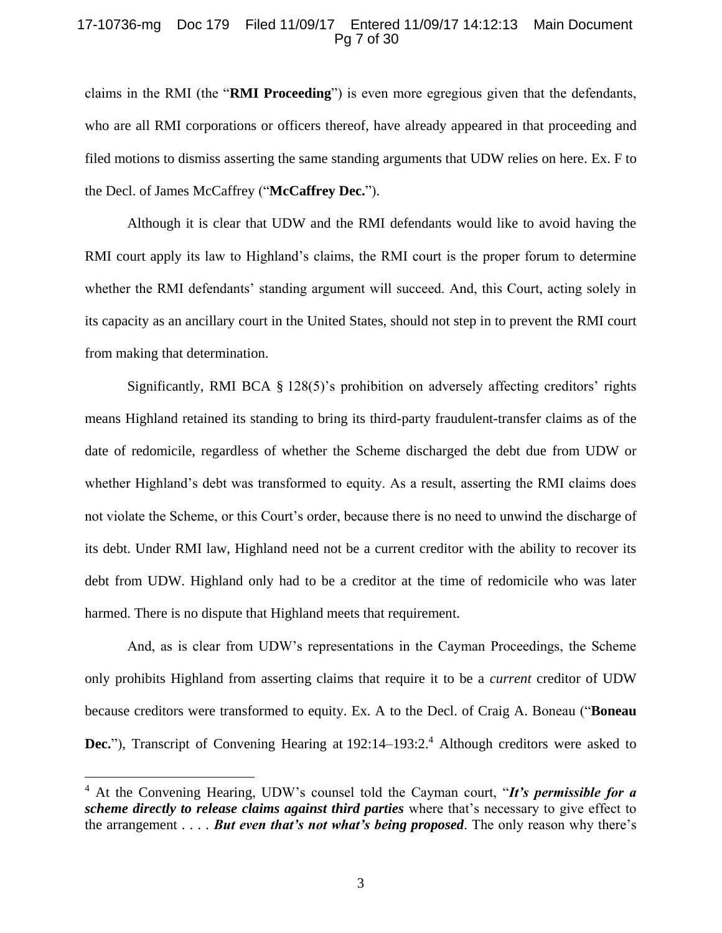### 17-10736-mg Doc 179 Filed 11/09/17 Entered 11/09/17 14:12:13 Main Document Pg 7 of 30

claims in the RMI (the "**RMI Proceeding**") is even more egregious given that the defendants, who are all RMI corporations or officers thereof, have already appeared in that proceeding and filed motions to dismiss asserting the same standing arguments that UDW relies on here. Ex. F to the Decl. of James McCaffrey ("**McCaffrey Dec.**").

Although it is clear that UDW and the RMI defendants would like to avoid having the RMI court apply its law to Highland's claims, the RMI court is the proper forum to determine whether the RMI defendants' standing argument will succeed. And, this Court, acting solely in its capacity as an ancillary court in the United States, should not step in to prevent the RMI court from making that determination.

Significantly, RMI BCA § 128(5)'s prohibition on adversely affecting creditors' rights means Highland retained its standing to bring its third-party fraudulent-transfer claims as of the date of redomicile, regardless of whether the Scheme discharged the debt due from UDW or whether Highland's debt was transformed to equity. As a result, asserting the RMI claims does not violate the Scheme, or this Court's order, because there is no need to unwind the discharge of its debt. Under RMI law, Highland need not be a current creditor with the ability to recover its debt from UDW. Highland only had to be a creditor at the time of redomicile who was later harmed. There is no dispute that Highland meets that requirement.

And, as is clear from UDW's representations in the Cayman Proceedings, the Scheme only prohibits Highland from asserting claims that require it to be a *current* creditor of UDW because creditors were transformed to equity. Ex. A to the Decl. of Craig A. Boneau ("**Boneau Dec.**"), Transcript of Convening Hearing at 192:14–193:2.<sup>4</sup> Although creditors were asked to

<sup>4</sup> At the Convening Hearing, UDW's counsel told the Cayman court, "*It's permissible for a scheme directly to release claims against third parties* where that's necessary to give effect to the arrangement . . . . *But even that's not what's being proposed*. The only reason why there's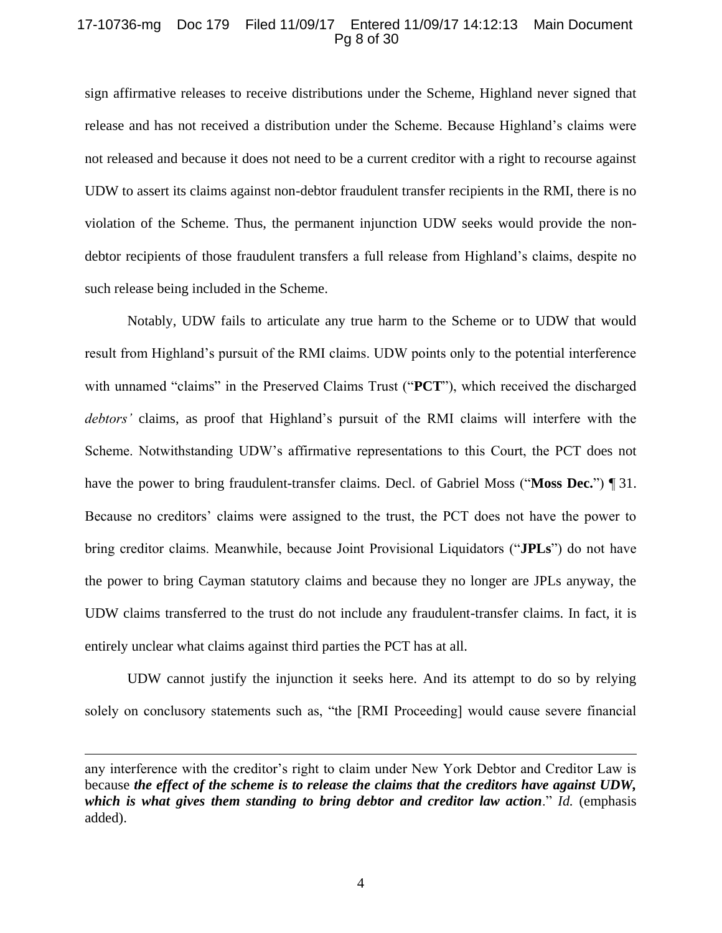### 17-10736-mg Doc 179 Filed 11/09/17 Entered 11/09/17 14:12:13 Main Document Pg 8 of 30

sign affirmative releases to receive distributions under the Scheme, Highland never signed that release and has not received a distribution under the Scheme. Because Highland's claims were not released and because it does not need to be a current creditor with a right to recourse against UDW to assert its claims against non-debtor fraudulent transfer recipients in the RMI, there is no violation of the Scheme. Thus, the permanent injunction UDW seeks would provide the nondebtor recipients of those fraudulent transfers a full release from Highland's claims, despite no such release being included in the Scheme.

Notably, UDW fails to articulate any true harm to the Scheme or to UDW that would result from Highland's pursuit of the RMI claims. UDW points only to the potential interference with unnamed "claims" in the Preserved Claims Trust ("**PCT**"), which received the discharged *debtors'* claims, as proof that Highland's pursuit of the RMI claims will interfere with the Scheme. Notwithstanding UDW's affirmative representations to this Court, the PCT does not have the power to bring fraudulent-transfer claims. Decl. of Gabriel Moss ("**Moss Dec.**") ¶ 31. Because no creditors' claims were assigned to the trust, the PCT does not have the power to bring creditor claims. Meanwhile, because Joint Provisional Liquidators ("**JPLs**") do not have the power to bring Cayman statutory claims and because they no longer are JPLs anyway, the UDW claims transferred to the trust do not include any fraudulent-transfer claims. In fact, it is entirely unclear what claims against third parties the PCT has at all.

UDW cannot justify the injunction it seeks here. And its attempt to do so by relying solely on conclusory statements such as, "the [RMI Proceeding] would cause severe financial

 $\overline{\phantom{a}}$ 

4

any interference with the creditor's right to claim under New York Debtor and Creditor Law is because *the effect of the scheme is to release the claims that the creditors have against UDW, which is what gives them standing to bring debtor and creditor law action*." *Id.* (emphasis added).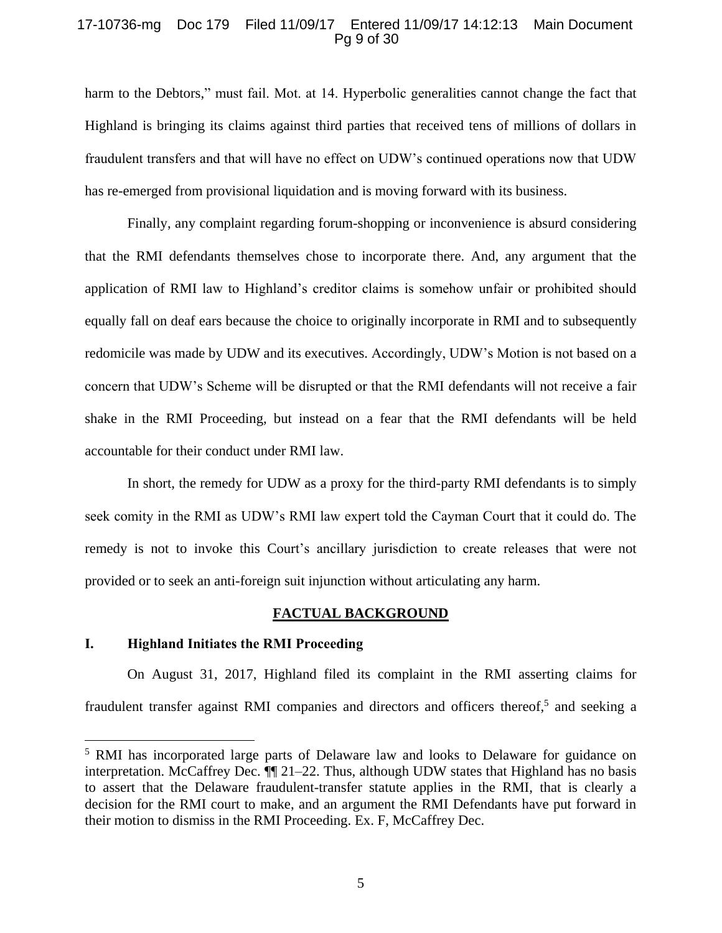### 17-10736-mg Doc 179 Filed 11/09/17 Entered 11/09/17 14:12:13 Main Document Pg 9 of 30

harm to the Debtors," must fail. Mot. at 14. Hyperbolic generalities cannot change the fact that Highland is bringing its claims against third parties that received tens of millions of dollars in fraudulent transfers and that will have no effect on UDW's continued operations now that UDW has re-emerged from provisional liquidation and is moving forward with its business.

Finally, any complaint regarding forum-shopping or inconvenience is absurd considering that the RMI defendants themselves chose to incorporate there. And, any argument that the application of RMI law to Highland's creditor claims is somehow unfair or prohibited should equally fall on deaf ears because the choice to originally incorporate in RMI and to subsequently redomicile was made by UDW and its executives. Accordingly, UDW's Motion is not based on a concern that UDW's Scheme will be disrupted or that the RMI defendants will not receive a fair shake in the RMI Proceeding, but instead on a fear that the RMI defendants will be held accountable for their conduct under RMI law.

In short, the remedy for UDW as a proxy for the third-party RMI defendants is to simply seek comity in the RMI as UDW's RMI law expert told the Cayman Court that it could do. The remedy is not to invoke this Court's ancillary jurisdiction to create releases that were not provided or to seek an anti-foreign suit injunction without articulating any harm.

#### **FACTUAL BACKGROUND**

# <span id="page-8-1"></span><span id="page-8-0"></span>**I. Highland Initiates the RMI Proceeding**

 $\overline{\phantom{a}}$ 

On August 31, 2017, Highland filed its complaint in the RMI asserting claims for fraudulent transfer against RMI companies and directors and officers thereof,<sup>5</sup> and seeking a

<sup>5</sup> RMI has incorporated large parts of Delaware law and looks to Delaware for guidance on interpretation. McCaffrey Dec. ¶¶ 21–22. Thus, although UDW states that Highland has no basis to assert that the Delaware fraudulent-transfer statute applies in the RMI, that is clearly a decision for the RMI court to make, and an argument the RMI Defendants have put forward in their motion to dismiss in the RMI Proceeding. Ex. F, McCaffrey Dec.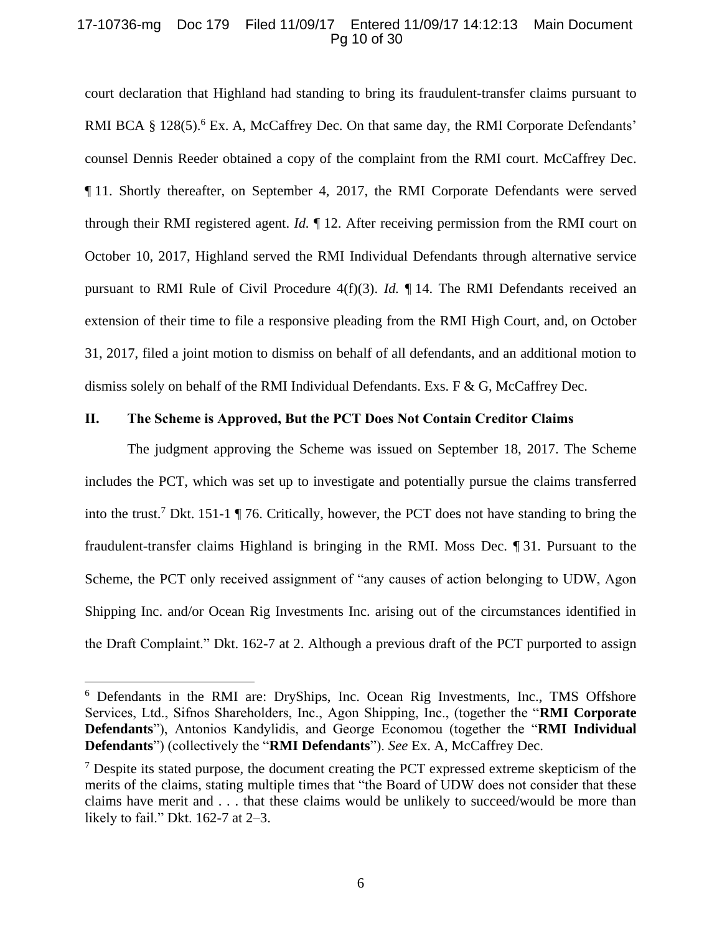### 17-10736-mg Doc 179 Filed 11/09/17 Entered 11/09/17 14:12:13 Main Document Pg 10 of 30

court declaration that Highland had standing to bring its fraudulent-transfer claims pursuant to RMI BCA § 128(5).<sup>6</sup> Ex. A, McCaffrey Dec. On that same day, the RMI Corporate Defendants' counsel Dennis Reeder obtained a copy of the complaint from the RMI court. McCaffrey Dec. ¶ 11. Shortly thereafter, on September 4, 2017, the RMI Corporate Defendants were served through their RMI registered agent. *Id.* ¶ 12. After receiving permission from the RMI court on October 10, 2017, Highland served the RMI Individual Defendants through alternative service pursuant to RMI Rule of Civil Procedure 4(f)(3). *Id.* ¶ 14. The RMI Defendants received an extension of their time to file a responsive pleading from the RMI High Court, and, on October 31, 2017, filed a joint motion to dismiss on behalf of all defendants, and an additional motion to dismiss solely on behalf of the RMI Individual Defendants. Exs.  $F \& G$ , McCaffrey Dec.

### <span id="page-9-0"></span>**II. The Scheme is Approved, But the PCT Does Not Contain Creditor Claims**

The judgment approving the Scheme was issued on September 18, 2017. The Scheme includes the PCT, which was set up to investigate and potentially pursue the claims transferred into the trust.<sup>7</sup> Dkt. 151-1 ¶ 76. Critically, however, the PCT does not have standing to bring the fraudulent-transfer claims Highland is bringing in the RMI. Moss Dec. ¶ 31. Pursuant to the Scheme, the PCT only received assignment of "any causes of action belonging to UDW, Agon Shipping Inc. and/or Ocean Rig Investments Inc. arising out of the circumstances identified in the Draft Complaint." Dkt. 162-7 at 2. Although a previous draft of the PCT purported to assign

<sup>6</sup> Defendants in the RMI are: DryShips, Inc. Ocean Rig Investments, Inc., TMS Offshore Services, Ltd., Sifnos Shareholders, Inc., Agon Shipping, Inc., (together the "**RMI Corporate Defendants**"), Antonios Kandylidis, and George Economou (together the "**RMI Individual Defendants**") (collectively the "**RMI Defendants**"). *See* Ex. A, McCaffrey Dec.

 $<sup>7</sup>$  Despite its stated purpose, the document creating the PCT expressed extreme skepticism of the</sup> merits of the claims, stating multiple times that "the Board of UDW does not consider that these claims have merit and . . . that these claims would be unlikely to succeed/would be more than likely to fail." Dkt. 162-7 at 2–3.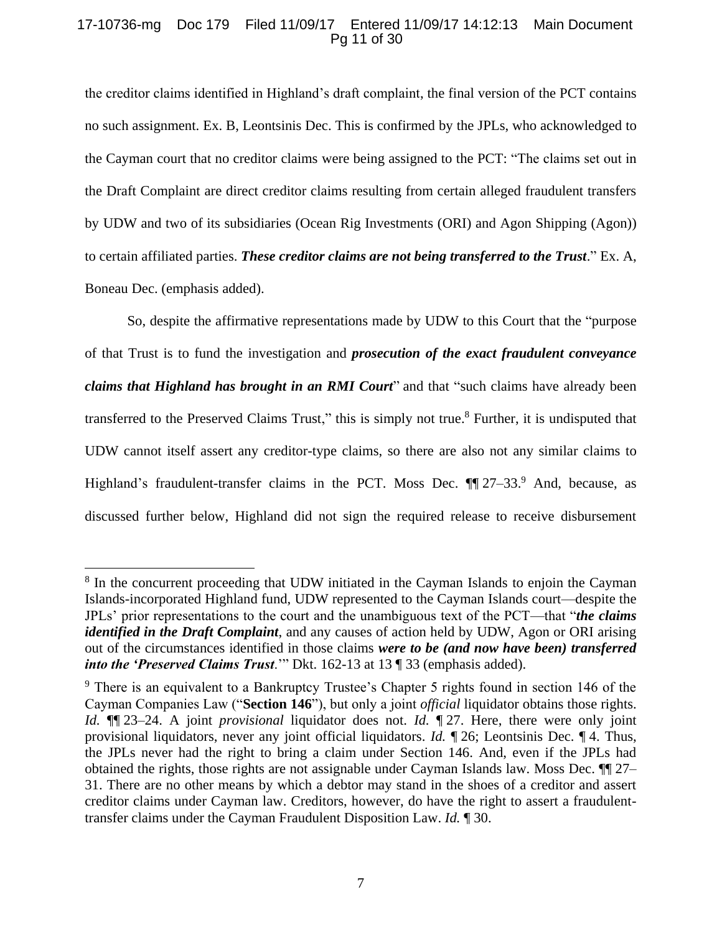### 17-10736-mg Doc 179 Filed 11/09/17 Entered 11/09/17 14:12:13 Main Document Pg 11 of 30

the creditor claims identified in Highland's draft complaint, the final version of the PCT contains no such assignment. Ex. B, Leontsinis Dec. This is confirmed by the JPLs, who acknowledged to the Cayman court that no creditor claims were being assigned to the PCT: "The claims set out in the Draft Complaint are direct creditor claims resulting from certain alleged fraudulent transfers by UDW and two of its subsidiaries (Ocean Rig Investments (ORI) and Agon Shipping (Agon)) to certain affiliated parties. *These creditor claims are not being transferred to the Trust*." Ex. A, Boneau Dec. (emphasis added).

So, despite the affirmative representations made by UDW to this Court that the "purpose of that Trust is to fund the investigation and *prosecution of the exact fraudulent conveyance claims that Highland has brought in an RMI Court*" and that "such claims have already been transferred to the Preserved Claims Trust," this is simply not true.<sup>8</sup> Further, it is undisputed that UDW cannot itself assert any creditor-type claims, so there are also not any similar claims to Highland's fraudulent-transfer claims in the PCT. Moss Dec.  $\P$  27–33.<sup>9</sup> And, because, as discussed further below, Highland did not sign the required release to receive disbursement

<sup>&</sup>lt;sup>8</sup> In the concurrent proceeding that UDW initiated in the Cayman Islands to enjoin the Cayman Islands-incorporated Highland fund, UDW represented to the Cayman Islands court—despite the JPLs' prior representations to the court and the unambiguous text of the PCT—that "*the claims identified in the Draft Complaint*, and any causes of action held by UDW, Agon or ORI arising out of the circumstances identified in those claims *were to be (and now have been) transferred into the 'Preserved Claims Trust*.'" Dkt. 162-13 at 13 ¶ 33 (emphasis added).

<sup>&</sup>lt;sup>9</sup> There is an equivalent to a Bankruptcy Trustee's Chapter 5 rights found in section 146 of the Cayman Companies Law ("**Section 146**"), but only a joint *official* liquidator obtains those rights. *Id.* ¶¶ 23–24. A joint *provisional* liquidator does not. *Id.* ¶ 27. Here, there were only joint provisional liquidators, never any joint official liquidators. *Id.* ¶ 26; Leontsinis Dec. ¶ 4. Thus, the JPLs never had the right to bring a claim under Section 146. And, even if the JPLs had obtained the rights, those rights are not assignable under Cayman Islands law. Moss Dec. ¶¶ 27– 31. There are no other means by which a debtor may stand in the shoes of a creditor and assert creditor claims under Cayman law. Creditors, however, do have the right to assert a fraudulenttransfer claims under the Cayman Fraudulent Disposition Law. *Id.* ¶ 30.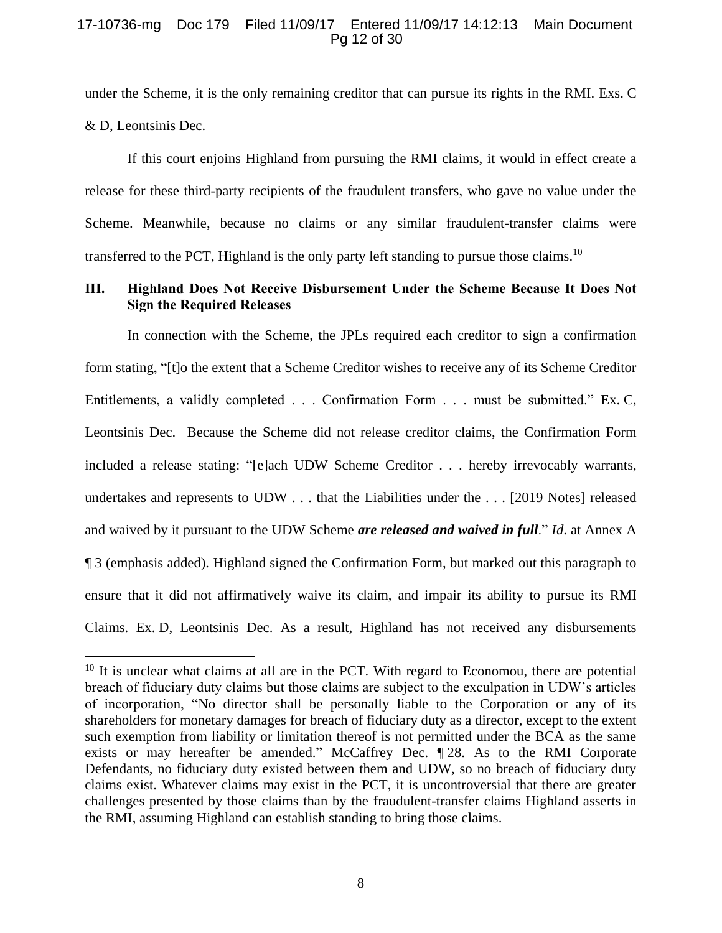### 17-10736-mg Doc 179 Filed 11/09/17 Entered 11/09/17 14:12:13 Main Document Pg 12 of 30

under the Scheme, it is the only remaining creditor that can pursue its rights in the RMI. Exs. C & D, Leontsinis Dec.

If this court enjoins Highland from pursuing the RMI claims, it would in effect create a release for these third-party recipients of the fraudulent transfers, who gave no value under the Scheme. Meanwhile, because no claims or any similar fraudulent-transfer claims were transferred to the PCT, Highland is the only party left standing to pursue those claims.<sup>10</sup>

# <span id="page-11-0"></span>**III. Highland Does Not Receive Disbursement Under the Scheme Because It Does Not Sign the Required Releases**

In connection with the Scheme, the JPLs required each creditor to sign a confirmation form stating, "[t]o the extent that a Scheme Creditor wishes to receive any of its Scheme Creditor Entitlements, a validly completed . . . Confirmation Form . . . must be submitted." Ex. C, Leontsinis Dec. Because the Scheme did not release creditor claims, the Confirmation Form included a release stating: "[e]ach UDW Scheme Creditor . . . hereby irrevocably warrants, undertakes and represents to UDW . . . that the Liabilities under the . . . [2019 Notes] released and waived by it pursuant to the UDW Scheme *are released and waived in full*." *Id*. at Annex A ¶ 3 (emphasis added). Highland signed the Confirmation Form, but marked out this paragraph to ensure that it did not affirmatively waive its claim, and impair its ability to pursue its RMI Claims. Ex. D, Leontsinis Dec. As a result, Highland has not received any disbursements

 $10$  It is unclear what claims at all are in the PCT. With regard to Economou, there are potential breach of fiduciary duty claims but those claims are subject to the exculpation in UDW's articles of incorporation, "No director shall be personally liable to the Corporation or any of its shareholders for monetary damages for breach of fiduciary duty as a director, except to the extent such exemption from liability or limitation thereof is not permitted under the BCA as the same exists or may hereafter be amended." McCaffrey Dec. ¶ 28. As to the RMI Corporate Defendants, no fiduciary duty existed between them and UDW, so no breach of fiduciary duty claims exist. Whatever claims may exist in the PCT, it is uncontroversial that there are greater challenges presented by those claims than by the fraudulent-transfer claims Highland asserts in the RMI, assuming Highland can establish standing to bring those claims.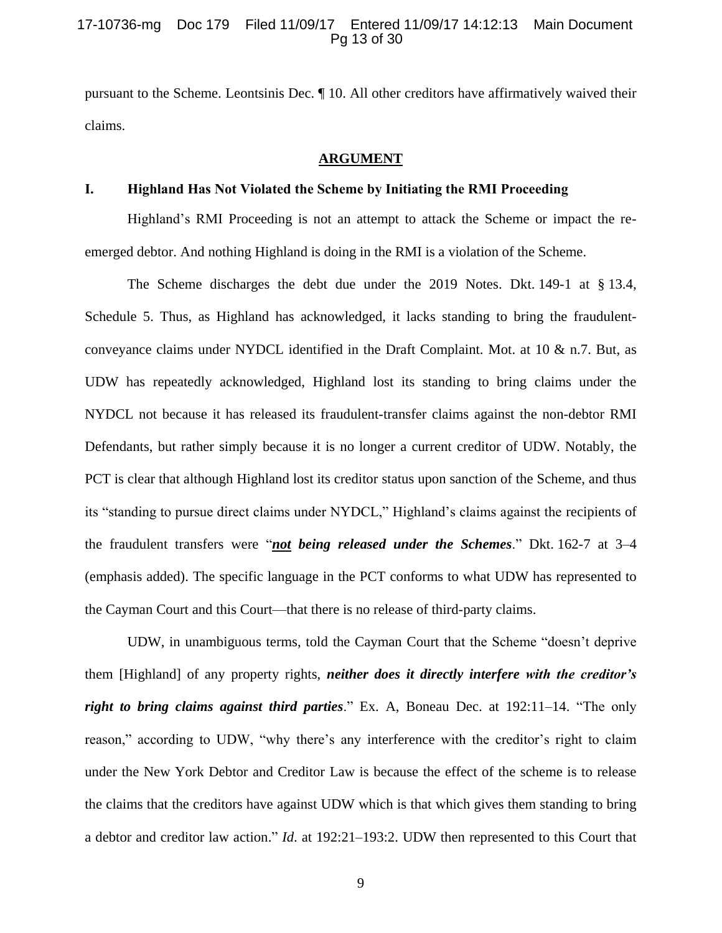### 17-10736-mg Doc 179 Filed 11/09/17 Entered 11/09/17 14:12:13 Main Document Pg 13 of 30

pursuant to the Scheme. Leontsinis Dec. ¶ 10. All other creditors have affirmatively waived their claims.

#### **ARGUMENT**

#### <span id="page-12-1"></span><span id="page-12-0"></span>**I. Highland Has Not Violated the Scheme by Initiating the RMI Proceeding**

Highland's RMI Proceeding is not an attempt to attack the Scheme or impact the reemerged debtor. And nothing Highland is doing in the RMI is a violation of the Scheme.

The Scheme discharges the debt due under the 2019 Notes. Dkt. 149-1 at § 13.4, Schedule 5. Thus, as Highland has acknowledged, it lacks standing to bring the fraudulentconveyance claims under NYDCL identified in the Draft Complaint. Mot. at 10 & n.7. But, as UDW has repeatedly acknowledged, Highland lost its standing to bring claims under the NYDCL not because it has released its fraudulent-transfer claims against the non-debtor RMI Defendants, but rather simply because it is no longer a current creditor of UDW. Notably, the PCT is clear that although Highland lost its creditor status upon sanction of the Scheme, and thus its "standing to pursue direct claims under NYDCL," Highland's claims against the recipients of the fraudulent transfers were "*not being released under the Schemes*." Dkt. 162-7 at 3–4 (emphasis added). The specific language in the PCT conforms to what UDW has represented to the Cayman Court and this Court—that there is no release of third-party claims.

UDW, in unambiguous terms, told the Cayman Court that the Scheme "doesn't deprive them [Highland] of any property rights, *neither does it directly interfere with the creditor's right to bring claims against third parties*." Ex. A, Boneau Dec. at 192:11–14. "The only reason," according to UDW, "why there's any interference with the creditor's right to claim under the New York Debtor and Creditor Law is because the effect of the scheme is to release the claims that the creditors have against UDW which is that which gives them standing to bring a debtor and creditor law action." *Id*. at 192:21–193:2. UDW then represented to this Court that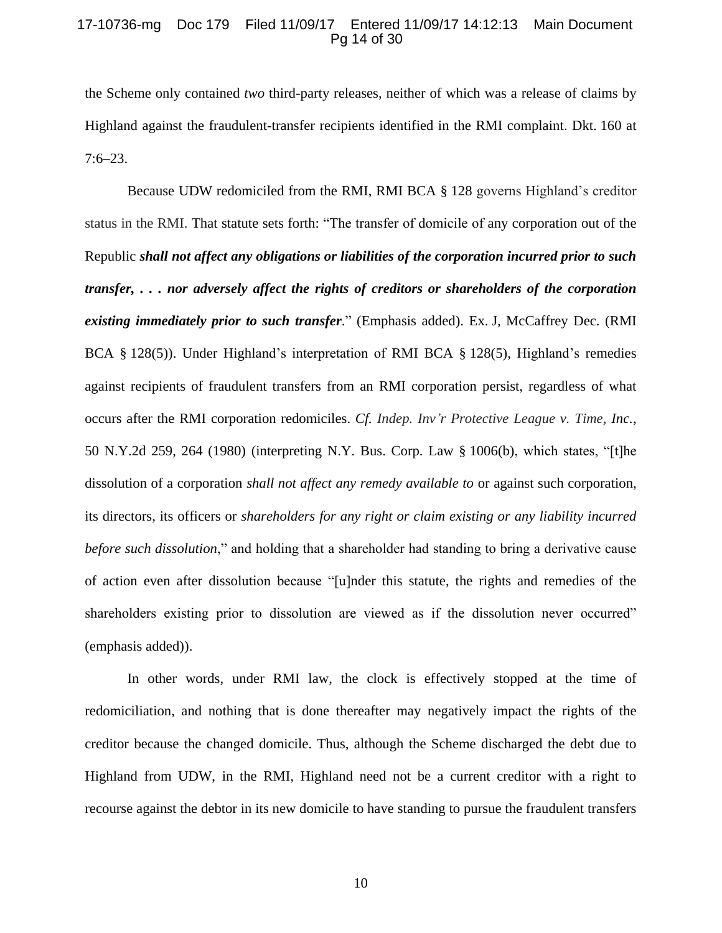### 17-10736-mg Doc 179 Filed 11/09/17 Entered 11/09/17 14:12:13 Main Document Pg 14 of 30

the Scheme only contained *two* third-party releases, neither of which was a release of claims by Highland against the fraudulent-transfer recipients identified in the RMI complaint. Dkt. 160 at 7:6–23.

Because UDW redomiciled from the RMI, RMI BCA § 128 governs Highland's creditor status in the RMI. That statute sets forth: "The transfer of domicile of any corporation out of the Republic *shall not affect any obligations or liabilities of the corporation incurred prior to such transfer, . . . nor adversely affect the rights of creditors or shareholders of the corporation existing immediately prior to such transfer.*" (Emphasis added). Ex. J, McCaffrey Dec. (RMI BCA § 128(5)). Under Highland's interpretation of RMI BCA § 128(5), Highland's remedies against recipients of fraudulent transfers from an RMI corporation persist, regardless of what occurs after the RMI corporation redomiciles. *Cf. Indep. Inv'r Protective League v. Time, Inc.*, 50 N.Y.2d 259, 264 (1980) (interpreting N.Y. Bus. Corp. Law § 1006(b), which states, "[t]he dissolution of a corporation *shall not affect any remedy available to* or against such corporation, its directors, its officers or *shareholders for any right or claim existing or any liability incurred before such dissolution*," and holding that a shareholder had standing to bring a derivative cause of action even after dissolution because "[u]nder this statute, the rights and remedies of the shareholders existing prior to dissolution are viewed as if the dissolution never occurred" (emphasis added)).

In other words, under RMI law, the clock is effectively stopped at the time of redomiciliation, and nothing that is done thereafter may negatively impact the rights of the creditor because the changed domicile. Thus, although the Scheme discharged the debt due to Highland from UDW, in the RMI, Highland need not be a current creditor with a right to recourse against the debtor in its new domicile to have standing to pursue the fraudulent transfers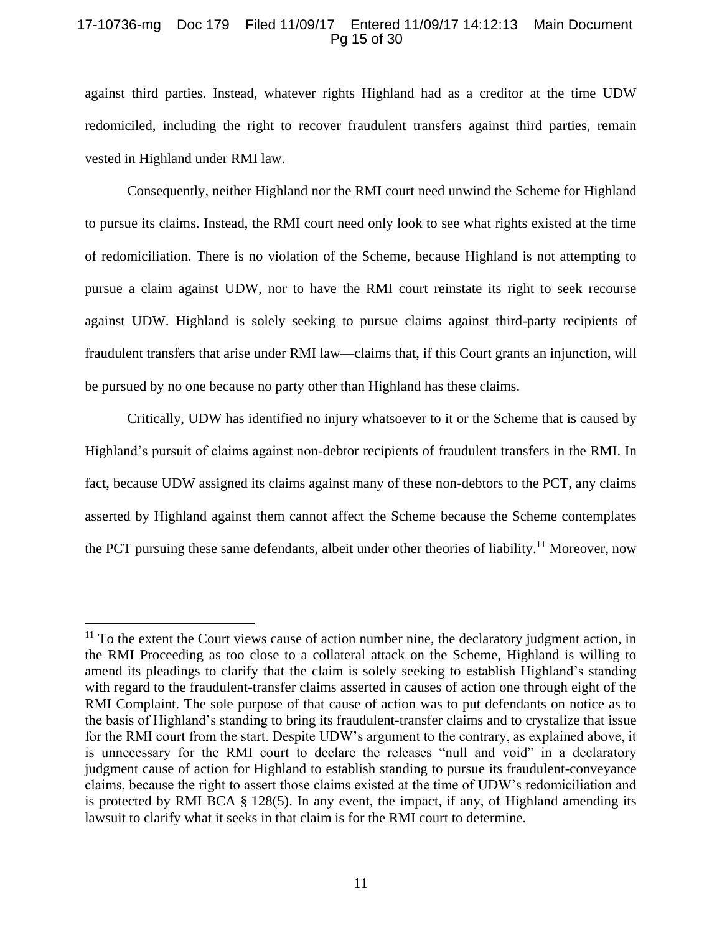### 17-10736-mg Doc 179 Filed 11/09/17 Entered 11/09/17 14:12:13 Main Document Pg 15 of 30

against third parties. Instead, whatever rights Highland had as a creditor at the time UDW redomiciled, including the right to recover fraudulent transfers against third parties, remain vested in Highland under RMI law.

Consequently, neither Highland nor the RMI court need unwind the Scheme for Highland to pursue its claims. Instead, the RMI court need only look to see what rights existed at the time of redomiciliation. There is no violation of the Scheme, because Highland is not attempting to pursue a claim against UDW, nor to have the RMI court reinstate its right to seek recourse against UDW. Highland is solely seeking to pursue claims against third-party recipients of fraudulent transfers that arise under RMI law—claims that, if this Court grants an injunction, will be pursued by no one because no party other than Highland has these claims.

Critically, UDW has identified no injury whatsoever to it or the Scheme that is caused by Highland's pursuit of claims against non-debtor recipients of fraudulent transfers in the RMI. In fact, because UDW assigned its claims against many of these non-debtors to the PCT, any claims asserted by Highland against them cannot affect the Scheme because the Scheme contemplates the PCT pursuing these same defendants, albeit under other theories of liability.<sup>11</sup> Moreover, now

 $\overline{a}$ 

 $11$  To the extent the Court views cause of action number nine, the declaratory judgment action, in the RMI Proceeding as too close to a collateral attack on the Scheme, Highland is willing to amend its pleadings to clarify that the claim is solely seeking to establish Highland's standing with regard to the fraudulent-transfer claims asserted in causes of action one through eight of the RMI Complaint. The sole purpose of that cause of action was to put defendants on notice as to the basis of Highland's standing to bring its fraudulent-transfer claims and to crystalize that issue for the RMI court from the start. Despite UDW's argument to the contrary, as explained above, it is unnecessary for the RMI court to declare the releases "null and void" in a declaratory judgment cause of action for Highland to establish standing to pursue its fraudulent-conveyance claims, because the right to assert those claims existed at the time of UDW's redomiciliation and is protected by RMI BCA § 128(5). In any event, the impact, if any, of Highland amending its lawsuit to clarify what it seeks in that claim is for the RMI court to determine.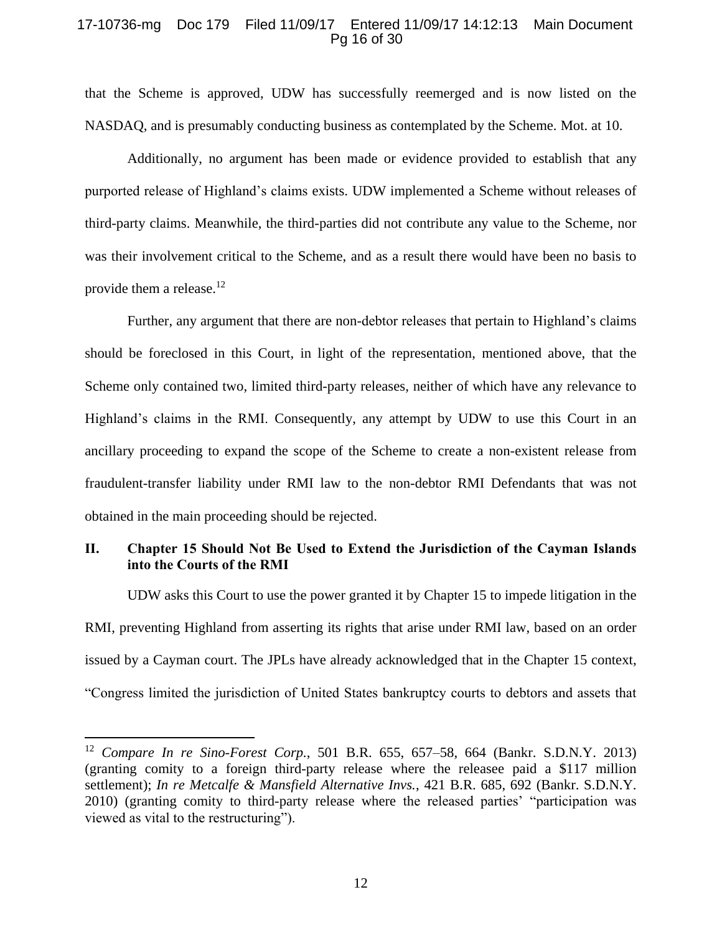### 17-10736-mg Doc 179 Filed 11/09/17 Entered 11/09/17 14:12:13 Main Document Pg 16 of 30

that the Scheme is approved, UDW has successfully reemerged and is now listed on the NASDAQ, and is presumably conducting business as contemplated by the Scheme. Mot. at 10.

Additionally, no argument has been made or evidence provided to establish that any purported release of Highland's claims exists. UDW implemented a Scheme without releases of third-party claims. Meanwhile, the third-parties did not contribute any value to the Scheme, nor was their involvement critical to the Scheme, and as a result there would have been no basis to provide them a release. $12$ 

Further, any argument that there are non-debtor releases that pertain to Highland's claims should be foreclosed in this Court, in light of the representation, mentioned above, that the Scheme only contained two, limited third-party releases, neither of which have any relevance to Highland's claims in the RMI. Consequently, any attempt by UDW to use this Court in an ancillary proceeding to expand the scope of the Scheme to create a non-existent release from fraudulent-transfer liability under RMI law to the non-debtor RMI Defendants that was not obtained in the main proceeding should be rejected.

# <span id="page-15-0"></span>**II. Chapter 15 Should Not Be Used to Extend the Jurisdiction of the Cayman Islands into the Courts of the RMI**

UDW asks this Court to use the power granted it by Chapter 15 to impede litigation in the RMI, preventing Highland from asserting its rights that arise under RMI law, based on an order issued by a Cayman court. The JPLs have already acknowledged that in the Chapter 15 context, "Congress limited the jurisdiction of United States bankruptcy courts to debtors and assets that

<sup>12</sup> *Compare In re Sino-Forest Corp.*, 501 B.R. 655, 657–58, 664 (Bankr. S.D.N.Y. 2013) (granting comity to a foreign third-party release where the releasee paid a \$117 million settlement); *In re Metcalfe & Mansfield Alternative Invs.*, 421 B.R. 685, 692 (Bankr. S.D.N.Y. 2010) (granting comity to third-party release where the released parties' "participation was viewed as vital to the restructuring").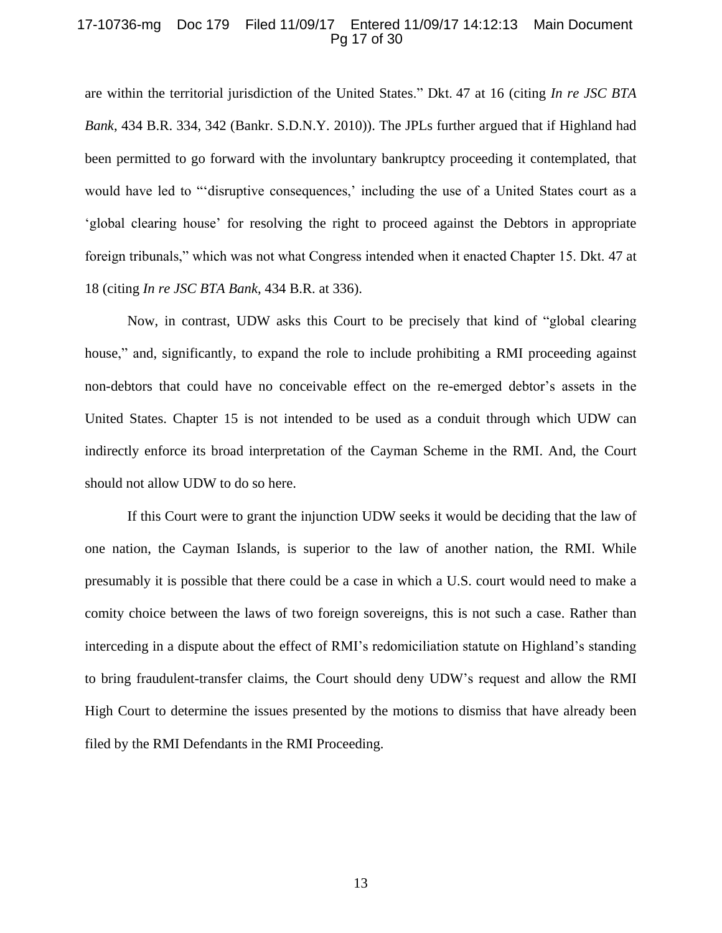#### 17-10736-mg Doc 179 Filed 11/09/17 Entered 11/09/17 14:12:13 Main Document Pg 17 of 30

are within the territorial jurisdiction of the United States." Dkt. 47 at 16 (citing *In re JSC BTA Bank*, 434 B.R. 334, 342 (Bankr. S.D.N.Y. 2010)). The JPLs further argued that if Highland had been permitted to go forward with the involuntary bankruptcy proceeding it contemplated, that would have led to "'disruptive consequences,' including the use of a United States court as a 'global clearing house' for resolving the right to proceed against the Debtors in appropriate foreign tribunals," which was not what Congress intended when it enacted Chapter 15. Dkt. 47 at 18 (citing *In re JSC BTA Bank*, 434 B.R. at 336).

Now, in contrast, UDW asks this Court to be precisely that kind of "global clearing house," and, significantly, to expand the role to include prohibiting a RMI proceeding against non-debtors that could have no conceivable effect on the re-emerged debtor's assets in the United States. Chapter 15 is not intended to be used as a conduit through which UDW can indirectly enforce its broad interpretation of the Cayman Scheme in the RMI. And, the Court should not allow UDW to do so here.

If this Court were to grant the injunction UDW seeks it would be deciding that the law of one nation, the Cayman Islands, is superior to the law of another nation, the RMI. While presumably it is possible that there could be a case in which a U.S. court would need to make a comity choice between the laws of two foreign sovereigns, this is not such a case. Rather than interceding in a dispute about the effect of RMI's redomiciliation statute on Highland's standing to bring fraudulent-transfer claims, the Court should deny UDW's request and allow the RMI High Court to determine the issues presented by the motions to dismiss that have already been filed by the RMI Defendants in the RMI Proceeding.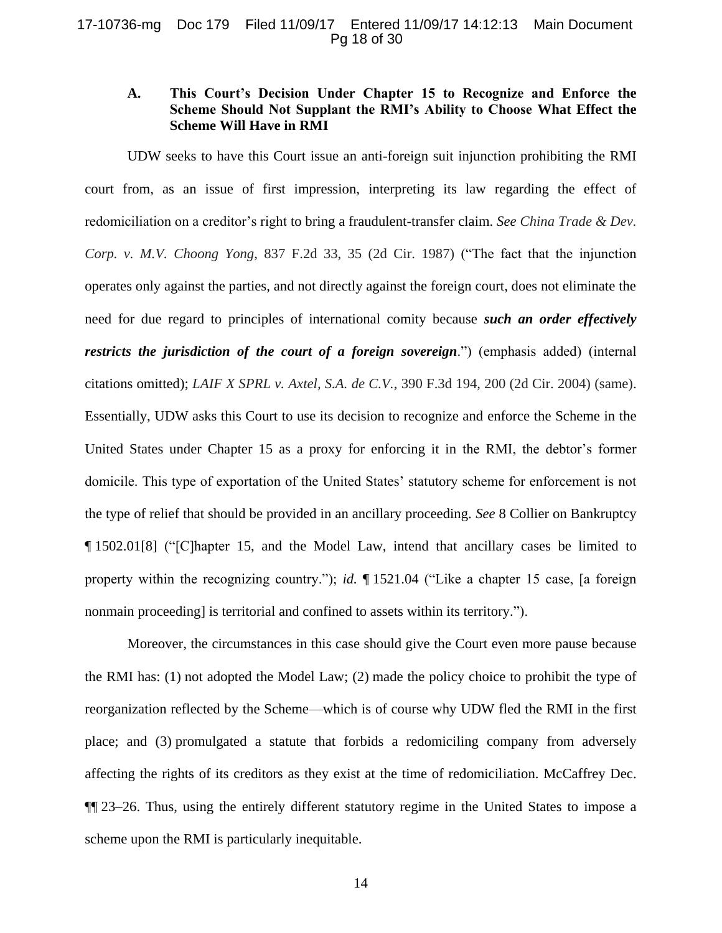#### 17-10736-mg Doc 179 Filed 11/09/17 Entered 11/09/17 14:12:13 Main Document Pg 18 of 30

# <span id="page-17-0"></span>**A. This Court's Decision Under Chapter 15 to Recognize and Enforce the Scheme Should Not Supplant the RMI's Ability to Choose What Effect the Scheme Will Have in RMI**

UDW seeks to have this Court issue an anti-foreign suit injunction prohibiting the RMI court from, as an issue of first impression, interpreting its law regarding the effect of redomiciliation on a creditor's right to bring a fraudulent-transfer claim. *See China Trade & Dev. Corp. v. M.V. Choong Yong*, 837 F.2d 33, 35 (2d Cir. 1987) ("The fact that the injunction operates only against the parties, and not directly against the foreign court, does not eliminate the need for due regard to principles of international comity because *such an order effectively restricts the jurisdiction of the court of a foreign sovereign*.") (emphasis added) (internal citations omitted); *LAIF X SPRL v. Axtel, S.A. de C.V.*, 390 F.3d 194, 200 (2d Cir. 2004) (same). Essentially, UDW asks this Court to use its decision to recognize and enforce the Scheme in the United States under Chapter 15 as a proxy for enforcing it in the RMI, the debtor's former domicile. This type of exportation of the United States' statutory scheme for enforcement is not the type of relief that should be provided in an ancillary proceeding. *See* 8 Collier on Bankruptcy ¶ 1502.01[8] ("[C]hapter 15, and the Model Law, intend that ancillary cases be limited to property within the recognizing country."); *id.* ¶ 1521.04 ("Like a chapter 15 case, [a foreign nonmain proceeding] is territorial and confined to assets within its territory.").

Moreover, the circumstances in this case should give the Court even more pause because the RMI has: (1) not adopted the Model Law; (2) made the policy choice to prohibit the type of reorganization reflected by the Scheme—which is of course why UDW fled the RMI in the first place; and (3) promulgated a statute that forbids a redomiciling company from adversely affecting the rights of its creditors as they exist at the time of redomiciliation. McCaffrey Dec. ¶¶ 23–26. Thus, using the entirely different statutory regime in the United States to impose a scheme upon the RMI is particularly inequitable.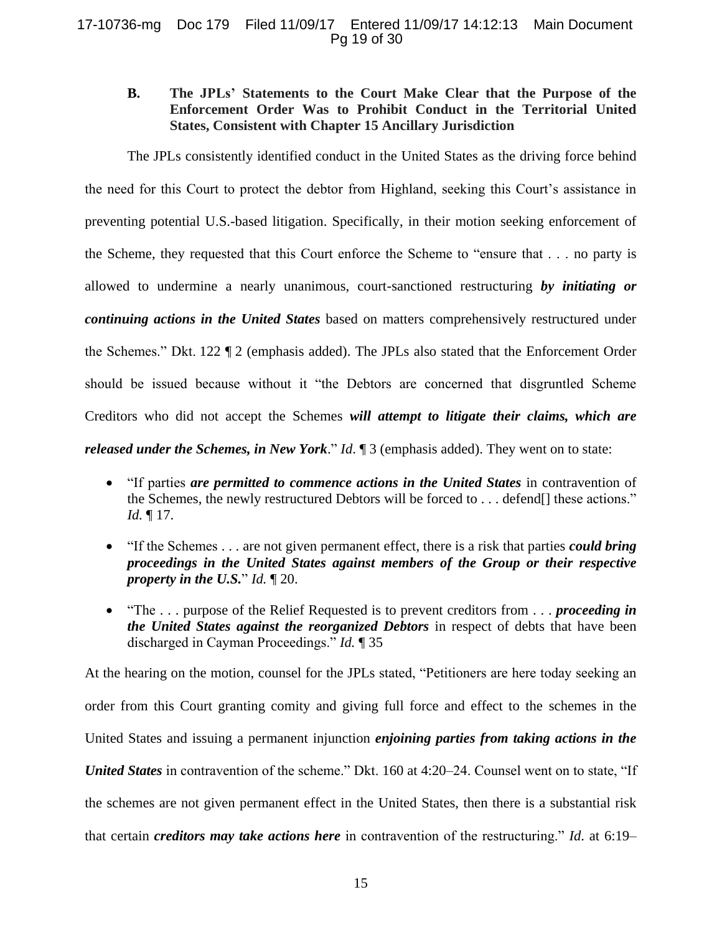### 17-10736-mg Doc 179 Filed 11/09/17 Entered 11/09/17 14:12:13 Main Document Pg 19 of 30

# <span id="page-18-0"></span>**B. The JPLs' Statements to the Court Make Clear that the Purpose of the Enforcement Order Was to Prohibit Conduct in the Territorial United States, Consistent with Chapter 15 Ancillary Jurisdiction**

The JPLs consistently identified conduct in the United States as the driving force behind the need for this Court to protect the debtor from Highland, seeking this Court's assistance in preventing potential U.S.-based litigation. Specifically, in their motion seeking enforcement of the Scheme, they requested that this Court enforce the Scheme to "ensure that . . . no party is allowed to undermine a nearly unanimous, court-sanctioned restructuring *by initiating or continuing actions in the United States* based on matters comprehensively restructured under the Schemes." Dkt. 122 ¶ 2 (emphasis added). The JPLs also stated that the Enforcement Order should be issued because without it "the Debtors are concerned that disgruntled Scheme Creditors who did not accept the Schemes *will attempt to litigate their claims, which are released under the Schemes, in New York.*" *Id.* 1 3 (emphasis added). They went on to state:

- "If parties *are permitted to commence actions in the United States* in contravention of the Schemes, the newly restructured Debtors will be forced to . . . defend[] these actions." *Id.* ¶ 17.
- "If the Schemes . . . are not given permanent effect, there is a risk that parties *could bring proceedings in the United States against members of the Group or their respective property in the U.S.*" *Id.* ¶ 20.
- "The . . . purpose of the Relief Requested is to prevent creditors from . . . *proceeding in the United States against the reorganized Debtors* in respect of debts that have been discharged in Cayman Proceedings." *Id.* ¶ 35

At the hearing on the motion, counsel for the JPLs stated, "Petitioners are here today seeking an order from this Court granting comity and giving full force and effect to the schemes in the United States and issuing a permanent injunction *enjoining parties from taking actions in the United States* in contravention of the scheme." Dkt. 160 at 4:20–24. Counsel went on to state, "If the schemes are not given permanent effect in the United States, then there is a substantial risk that certain *creditors may take actions here* in contravention of the restructuring." *Id*. at 6:19–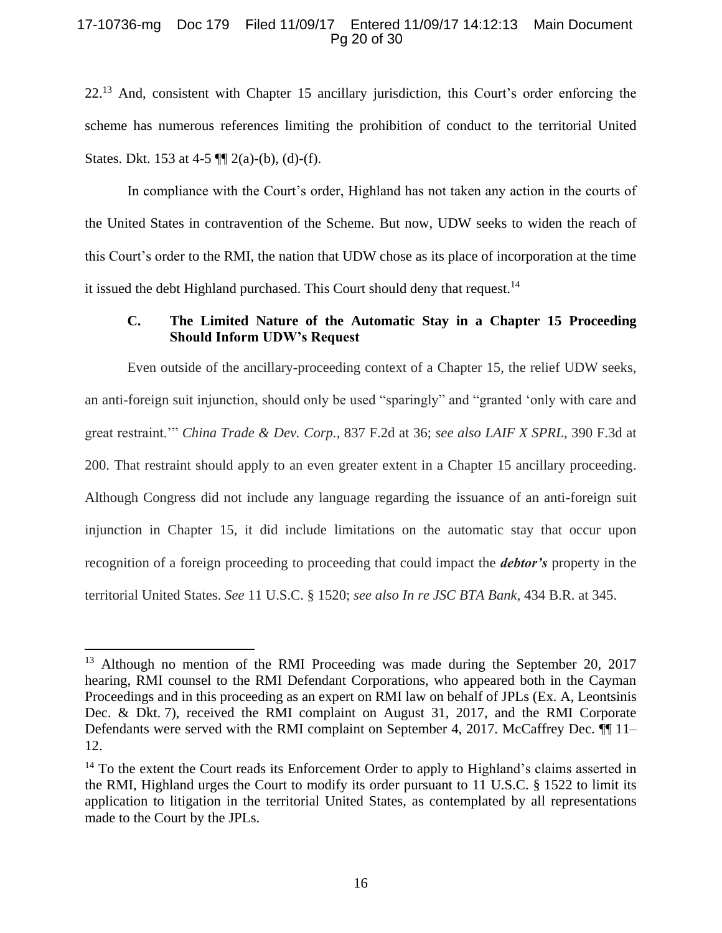### 17-10736-mg Doc 179 Filed 11/09/17 Entered 11/09/17 14:12:13 Main Document Pg 20 of 30

22.<sup>13</sup> And, consistent with Chapter 15 ancillary jurisdiction, this Court's order enforcing the scheme has numerous references limiting the prohibition of conduct to the territorial United States. Dkt. 153 at 4-5  $\P$ [ $\Diamond$  2(a)-(b), (d)-(f).

In compliance with the Court's order, Highland has not taken any action in the courts of the United States in contravention of the Scheme. But now, UDW seeks to widen the reach of this Court's order to the RMI, the nation that UDW chose as its place of incorporation at the time it issued the debt Highland purchased. This Court should deny that request.<sup>14</sup>

# <span id="page-19-0"></span>**C. The Limited Nature of the Automatic Stay in a Chapter 15 Proceeding Should Inform UDW's Request**

Even outside of the ancillary-proceeding context of a Chapter 15, the relief UDW seeks, an anti-foreign suit injunction, should only be used "sparingly" and "granted 'only with care and great restraint.'" *China Trade & Dev. Corp.*, 837 F.2d at 36; *see also LAIF X SPRL*, 390 F.3d at 200. That restraint should apply to an even greater extent in a Chapter 15 ancillary proceeding. Although Congress did not include any language regarding the issuance of an anti-foreign suit injunction in Chapter 15, it did include limitations on the automatic stay that occur upon recognition of a foreign proceeding to proceeding that could impact the *debtor's* property in the territorial United States. *See* 11 U.S.C. § 1520; *see also In re JSC BTA Bank*, 434 B.R. at 345.

<sup>&</sup>lt;sup>13</sup> Although no mention of the RMI Proceeding was made during the September 20, 2017 hearing, RMI counsel to the RMI Defendant Corporations, who appeared both in the Cayman Proceedings and in this proceeding as an expert on RMI law on behalf of JPLs (Ex. A, Leontsinis Dec. & Dkt. 7), received the RMI complaint on August 31, 2017, and the RMI Corporate Defendants were served with the RMI complaint on September 4, 2017. McCaffrey Dec. ¶¶ 11– 12.

 $14$  To the extent the Court reads its Enforcement Order to apply to Highland's claims asserted in the RMI, Highland urges the Court to modify its order pursuant to 11 U.S.C. § 1522 to limit its application to litigation in the territorial United States, as contemplated by all representations made to the Court by the JPLs.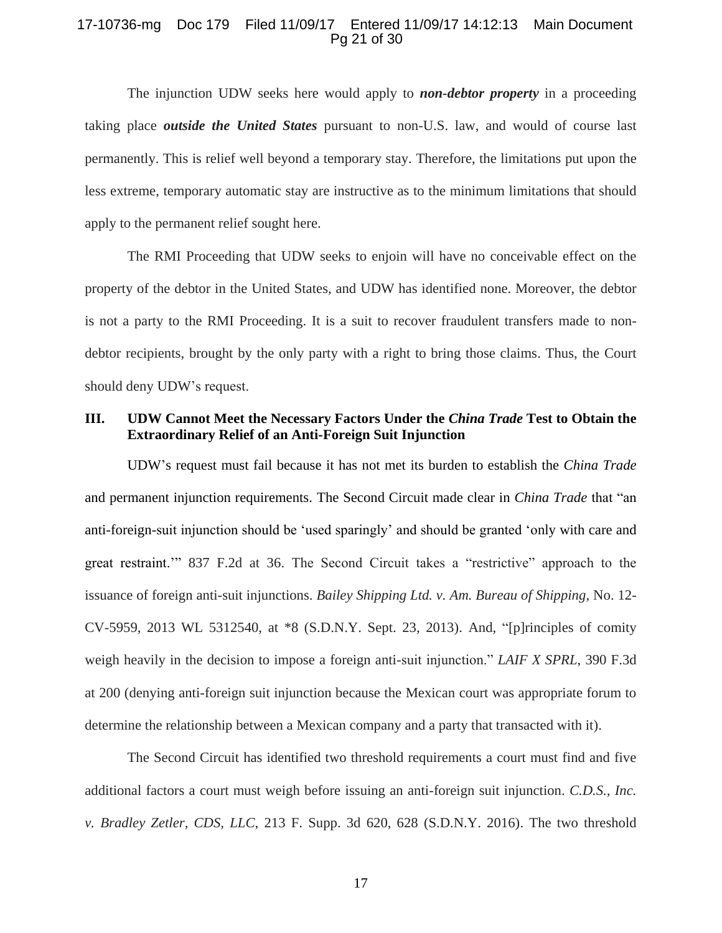### 17-10736-mg Doc 179 Filed 11/09/17 Entered 11/09/17 14:12:13 Main Document Pg 21 of 30

The injunction UDW seeks here would apply to *non-debtor property* in a proceeding taking place *outside the United States* pursuant to non-U.S. law, and would of course last permanently. This is relief well beyond a temporary stay. Therefore, the limitations put upon the less extreme, temporary automatic stay are instructive as to the minimum limitations that should apply to the permanent relief sought here.

The RMI Proceeding that UDW seeks to enjoin will have no conceivable effect on the property of the debtor in the United States, and UDW has identified none. Moreover, the debtor is not a party to the RMI Proceeding. It is a suit to recover fraudulent transfers made to nondebtor recipients, brought by the only party with a right to bring those claims. Thus, the Court should deny UDW's request.

# <span id="page-20-0"></span>**III. UDW Cannot Meet the Necessary Factors Under the** *China Trade* **Test to Obtain the Extraordinary Relief of an Anti-Foreign Suit Injunction**

UDW's request must fail because it has not met its burden to establish the *China Trade*  and permanent injunction requirements. The Second Circuit made clear in *China Trade* that "an anti-foreign-suit injunction should be 'used sparingly' and should be granted 'only with care and great restraint.'" 837 F.2d at 36. The Second Circuit takes a "restrictive" approach to the issuance of foreign anti-suit injunctions. *Bailey Shipping Ltd. v. Am. Bureau of Shipping*, No. 12- CV-5959, 2013 WL 5312540, at \*8 (S.D.N.Y. Sept. 23, 2013). And, "[p]rinciples of comity weigh heavily in the decision to impose a foreign anti-suit injunction." *LAIF X SPRL*, 390 F.3d at 200 (denying anti-foreign suit injunction because the Mexican court was appropriate forum to determine the relationship between a Mexican company and a party that transacted with it).

The Second Circuit has identified two threshold requirements a court must find and five additional factors a court must weigh before issuing an anti-foreign suit injunction. *C.D.S., Inc. v. Bradley Zetler, CDS, LLC*, 213 F. Supp. 3d 620, 628 (S.D.N.Y. 2016). The two threshold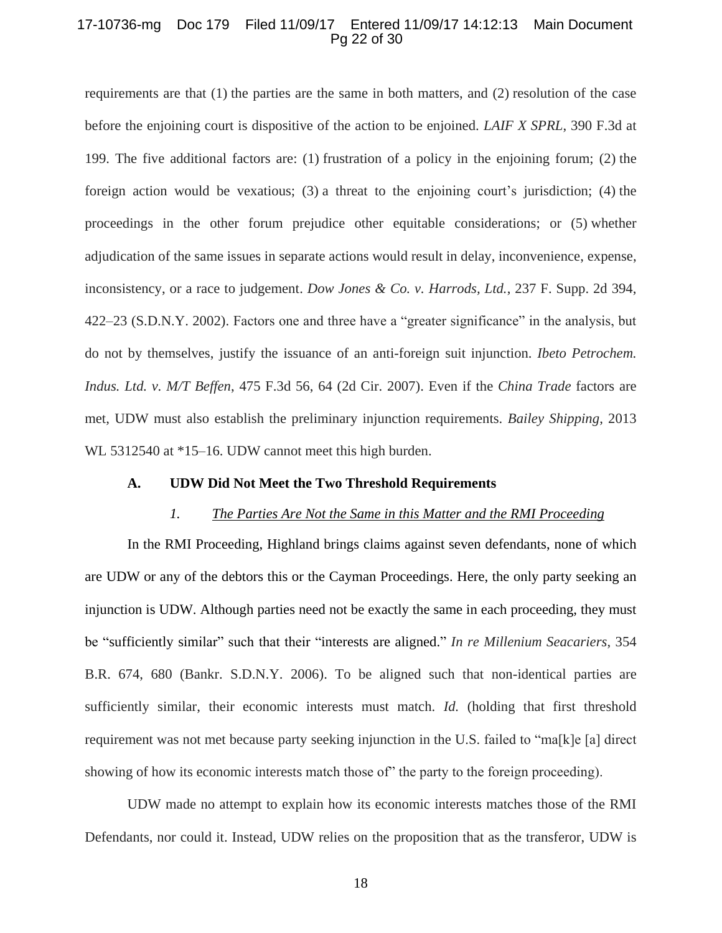### 17-10736-mg Doc 179 Filed 11/09/17 Entered 11/09/17 14:12:13 Main Document Pg 22 of 30

requirements are that (1) the parties are the same in both matters, and (2) resolution of the case before the enjoining court is dispositive of the action to be enjoined. *LAIF X SPRL*, 390 F.3d at 199. The five additional factors are: (1) frustration of a policy in the enjoining forum; (2) the foreign action would be vexatious; (3) a threat to the enjoining court's jurisdiction; (4) the proceedings in the other forum prejudice other equitable considerations; or (5) whether adjudication of the same issues in separate actions would result in delay, inconvenience, expense, inconsistency, or a race to judgement. *Dow Jones & Co. v. Harrods, Ltd.*, 237 F. Supp. 2d 394, 422–23 (S.D.N.Y. 2002). Factors one and three have a "greater significance" in the analysis, but do not by themselves, justify the issuance of an anti-foreign suit injunction. *Ibeto Petrochem. Indus. Ltd. v. M/T Beffen*, 475 F.3d 56, 64 (2d Cir. 2007). Even if the *China Trade* factors are met, UDW must also establish the preliminary injunction requirements. *Bailey Shipping*, 2013 WL 5312540 at  $*15-16$ . UDW cannot meet this high burden.

#### <span id="page-21-0"></span>**A. UDW Did Not Meet the Two Threshold Requirements**

#### *1. The Parties Are Not the Same in this Matter and the RMI Proceeding*

In the RMI Proceeding, Highland brings claims against seven defendants, none of which are UDW or any of the debtors this or the Cayman Proceedings. Here, the only party seeking an injunction is UDW. Although parties need not be exactly the same in each proceeding, they must be "sufficiently similar" such that their "interests are aligned." *In re Millenium Seacariers*, 354 B.R. 674, 680 (Bankr. S.D.N.Y. 2006). To be aligned such that non-identical parties are sufficiently similar, their economic interests must match. *Id.* (holding that first threshold requirement was not met because party seeking injunction in the U.S. failed to "ma[k]e [a] direct showing of how its economic interests match those of" the party to the foreign proceeding).

UDW made no attempt to explain how its economic interests matches those of the RMI Defendants, nor could it. Instead, UDW relies on the proposition that as the transferor, UDW is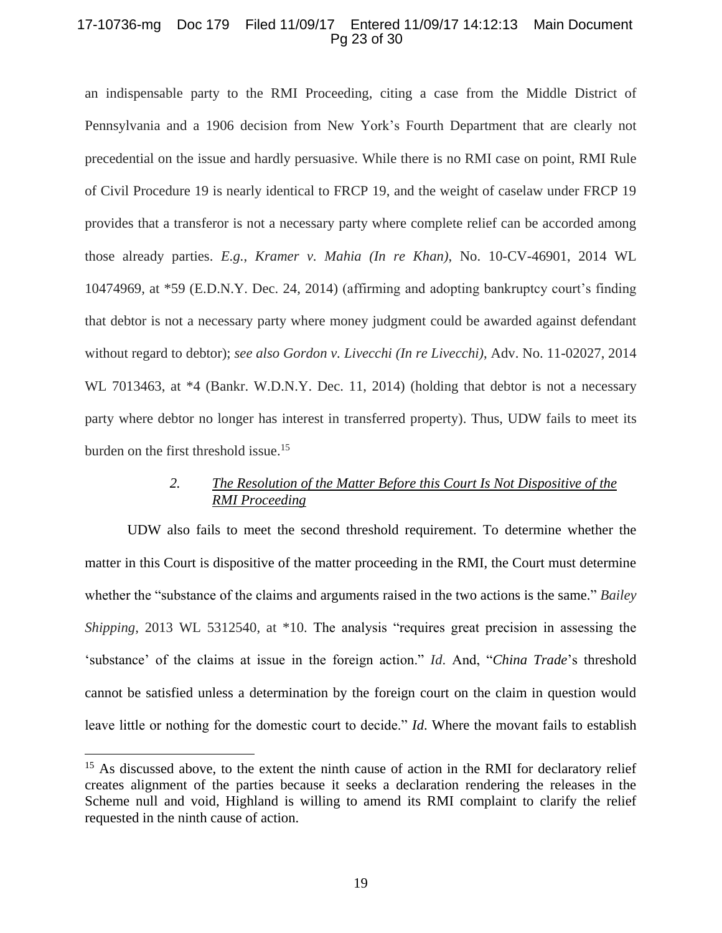### 17-10736-mg Doc 179 Filed 11/09/17 Entered 11/09/17 14:12:13 Main Document Pg 23 of 30

an indispensable party to the RMI Proceeding, citing a case from the Middle District of Pennsylvania and a 1906 decision from New York's Fourth Department that are clearly not precedential on the issue and hardly persuasive. While there is no RMI case on point, RMI Rule of Civil Procedure 19 is nearly identical to FRCP 19, and the weight of caselaw under FRCP 19 provides that a transferor is not a necessary party where complete relief can be accorded among those already parties. *E.g.*, *Kramer v. Mahia (In re Khan)*, No. 10-CV-46901, 2014 WL 10474969, at \*59 (E.D.N.Y. Dec. 24, 2014) (affirming and adopting bankruptcy court's finding that debtor is not a necessary party where money judgment could be awarded against defendant without regard to debtor); *see also Gordon v. Livecchi (In re Livecchi)*, Adv. No. 11-02027, 2014 WL 7013463, at \*4 (Bankr. W.D.N.Y. Dec. 11, 2014) (holding that debtor is not a necessary party where debtor no longer has interest in transferred property). Thus, UDW fails to meet its burden on the first threshold issue.<sup>15</sup>

# *2. The Resolution of the Matter Before this Court Is Not Dispositive of the RMI Proceeding*

UDW also fails to meet the second threshold requirement. To determine whether the matter in this Court is dispositive of the matter proceeding in the RMI, the Court must determine whether the "substance of the claims and arguments raised in the two actions is the same." *Bailey Shipping*, 2013 WL 5312540, at \*10. The analysis "requires great precision in assessing the 'substance' of the claims at issue in the foreign action." *Id*. And, "*China Trade*'s threshold cannot be satisfied unless a determination by the foreign court on the claim in question would leave little or nothing for the domestic court to decide." *Id*. Where the movant fails to establish

<sup>&</sup>lt;sup>15</sup> As discussed above, to the extent the ninth cause of action in the RMI for declaratory relief creates alignment of the parties because it seeks a declaration rendering the releases in the Scheme null and void, Highland is willing to amend its RMI complaint to clarify the relief requested in the ninth cause of action.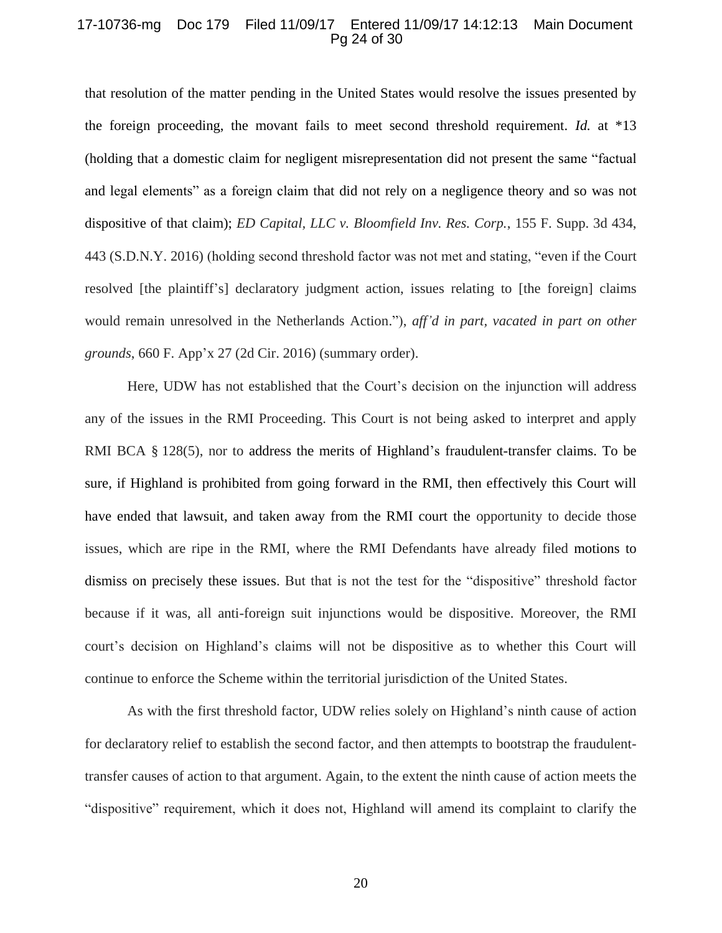#### 17-10736-mg Doc 179 Filed 11/09/17 Entered 11/09/17 14:12:13 Main Document Pg 24 of 30

that resolution of the matter pending in the United States would resolve the issues presented by the foreign proceeding, the movant fails to meet second threshold requirement. *Id.* at \*13 (holding that a domestic claim for negligent misrepresentation did not present the same "factual and legal elements" as a foreign claim that did not rely on a negligence theory and so was not dispositive of that claim); *ED Capital, LLC v. Bloomfield Inv. Res. Corp.*, 155 F. Supp. 3d 434, 443 (S.D.N.Y. 2016) (holding second threshold factor was not met and stating, "even if the Court resolved [the plaintiff's] declaratory judgment action, issues relating to [the foreign] claims would remain unresolved in the Netherlands Action."), *aff'd in part, vacated in part on other grounds*, 660 F. App'x 27 (2d Cir. 2016) (summary order).

Here, UDW has not established that the Court's decision on the injunction will address any of the issues in the RMI Proceeding. This Court is not being asked to interpret and apply RMI BCA § 128(5), nor to address the merits of Highland's fraudulent-transfer claims. To be sure, if Highland is prohibited from going forward in the RMI, then effectively this Court will have ended that lawsuit, and taken away from the RMI court the opportunity to decide those issues, which are ripe in the RMI, where the RMI Defendants have already filed motions to dismiss on precisely these issues. But that is not the test for the "dispositive" threshold factor because if it was, all anti-foreign suit injunctions would be dispositive. Moreover, the RMI court's decision on Highland's claims will not be dispositive as to whether this Court will continue to enforce the Scheme within the territorial jurisdiction of the United States.

As with the first threshold factor, UDW relies solely on Highland's ninth cause of action for declaratory relief to establish the second factor, and then attempts to bootstrap the fraudulenttransfer causes of action to that argument. Again, to the extent the ninth cause of action meets the "dispositive" requirement, which it does not, Highland will amend its complaint to clarify the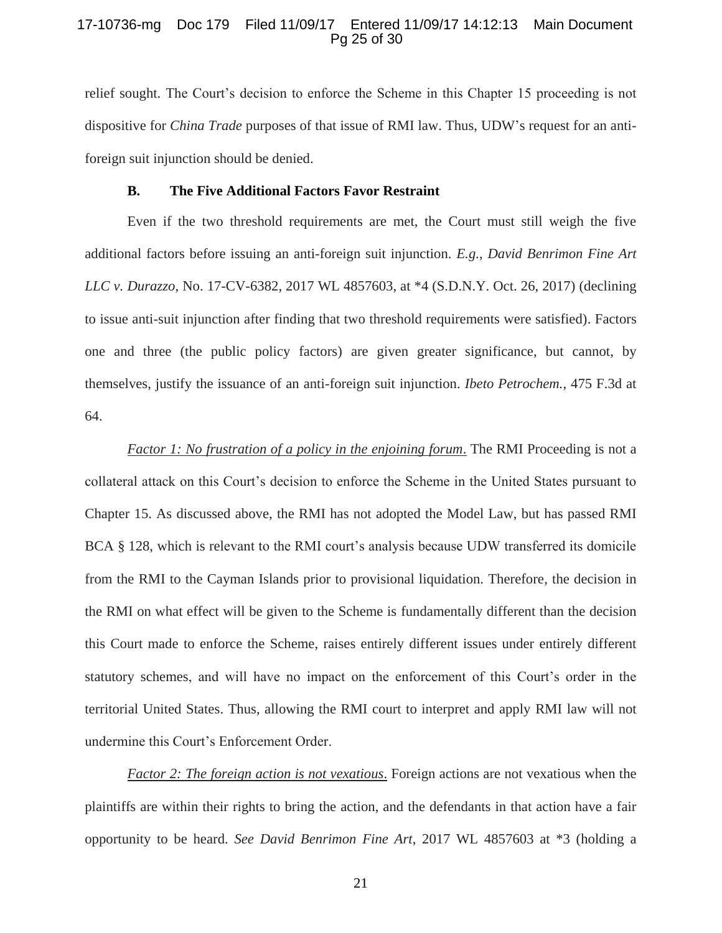### 17-10736-mg Doc 179 Filed 11/09/17 Entered 11/09/17 14:12:13 Main Document Pg 25 of 30

relief sought. The Court's decision to enforce the Scheme in this Chapter 15 proceeding is not dispositive for *China Trade* purposes of that issue of RMI law. Thus, UDW's request for an antiforeign suit injunction should be denied.

# **B. The Five Additional Factors Favor Restraint**

<span id="page-24-0"></span>Even if the two threshold requirements are met, the Court must still weigh the five additional factors before issuing an anti-foreign suit injunction. *E.g.*, *David Benrimon Fine Art LLC v. Durazzo*, No. 17-CV-6382, 2017 WL 4857603, at \*4 (S.D.N.Y. Oct. 26, 2017) (declining to issue anti-suit injunction after finding that two threshold requirements were satisfied). Factors one and three (the public policy factors) are given greater significance, but cannot, by themselves, justify the issuance of an anti-foreign suit injunction. *Ibeto Petrochem.*, 475 F.3d at 64.

*Factor 1: No frustration of a policy in the enjoining forum*. The RMI Proceeding is not a collateral attack on this Court's decision to enforce the Scheme in the United States pursuant to Chapter 15. As discussed above, the RMI has not adopted the Model Law, but has passed RMI BCA § 128, which is relevant to the RMI court's analysis because UDW transferred its domicile from the RMI to the Cayman Islands prior to provisional liquidation. Therefore, the decision in the RMI on what effect will be given to the Scheme is fundamentally different than the decision this Court made to enforce the Scheme, raises entirely different issues under entirely different statutory schemes, and will have no impact on the enforcement of this Court's order in the territorial United States. Thus, allowing the RMI court to interpret and apply RMI law will not undermine this Court's Enforcement Order.

*Factor 2: The foreign action is not vexatious*. Foreign actions are not vexatious when the plaintiffs are within their rights to bring the action, and the defendants in that action have a fair opportunity to be heard. *See David Benrimon Fine Art*, 2017 WL 4857603 at \*3 (holding a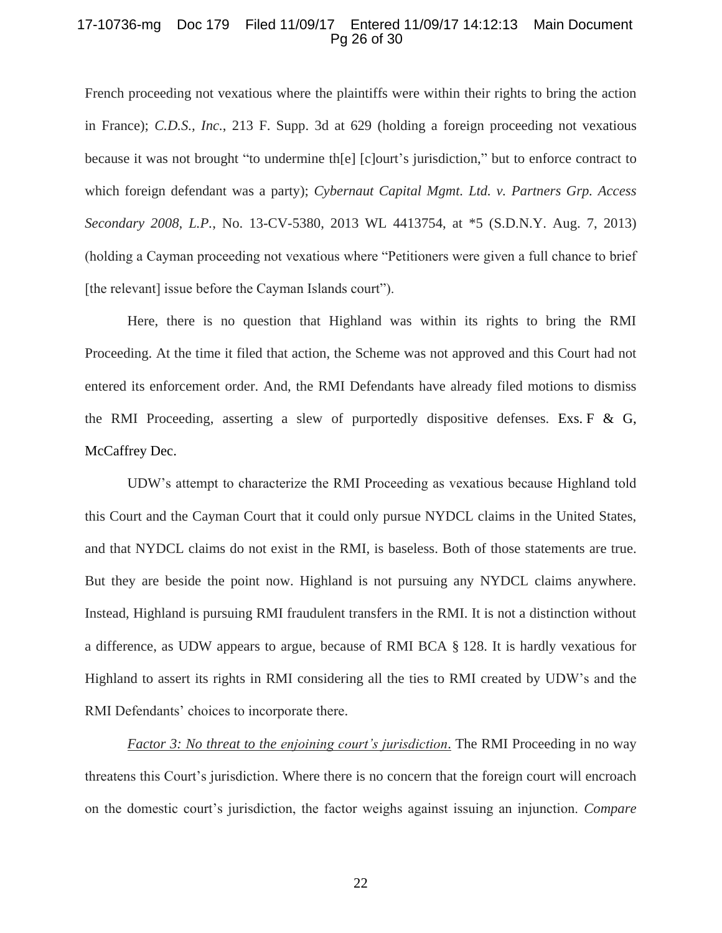### 17-10736-mg Doc 179 Filed 11/09/17 Entered 11/09/17 14:12:13 Main Document Pg 26 of 30

French proceeding not vexatious where the plaintiffs were within their rights to bring the action in France); *C.D.S., Inc.*, 213 F. Supp. 3d at 629 (holding a foreign proceeding not vexatious because it was not brought "to undermine th[e] [c]ourt's jurisdiction," but to enforce contract to which foreign defendant was a party); *Cybernaut Capital Mgmt. Ltd. v. Partners Grp. Access Secondary 2008, L.P.*, No. 13-CV-5380, 2013 WL 4413754, at \*5 (S.D.N.Y. Aug. 7, 2013) (holding a Cayman proceeding not vexatious where "Petitioners were given a full chance to brief [the relevant] issue before the Cayman Islands court").

Here, there is no question that Highland was within its rights to bring the RMI Proceeding. At the time it filed that action, the Scheme was not approved and this Court had not entered its enforcement order. And, the RMI Defendants have already filed motions to dismiss the RMI Proceeding, asserting a slew of purportedly dispositive defenses. Exs. F  $\&$  G, McCaffrey Dec.

UDW's attempt to characterize the RMI Proceeding as vexatious because Highland told this Court and the Cayman Court that it could only pursue NYDCL claims in the United States, and that NYDCL claims do not exist in the RMI, is baseless. Both of those statements are true. But they are beside the point now. Highland is not pursuing any NYDCL claims anywhere. Instead, Highland is pursuing RMI fraudulent transfers in the RMI. It is not a distinction without a difference, as UDW appears to argue, because of RMI BCA § 128. It is hardly vexatious for Highland to assert its rights in RMI considering all the ties to RMI created by UDW's and the RMI Defendants' choices to incorporate there.

*Factor 3: No threat to the enjoining court's jurisdiction*. The RMI Proceeding in no way threatens this Court's jurisdiction. Where there is no concern that the foreign court will encroach on the domestic court's jurisdiction, the factor weighs against issuing an injunction. *Compare* 

22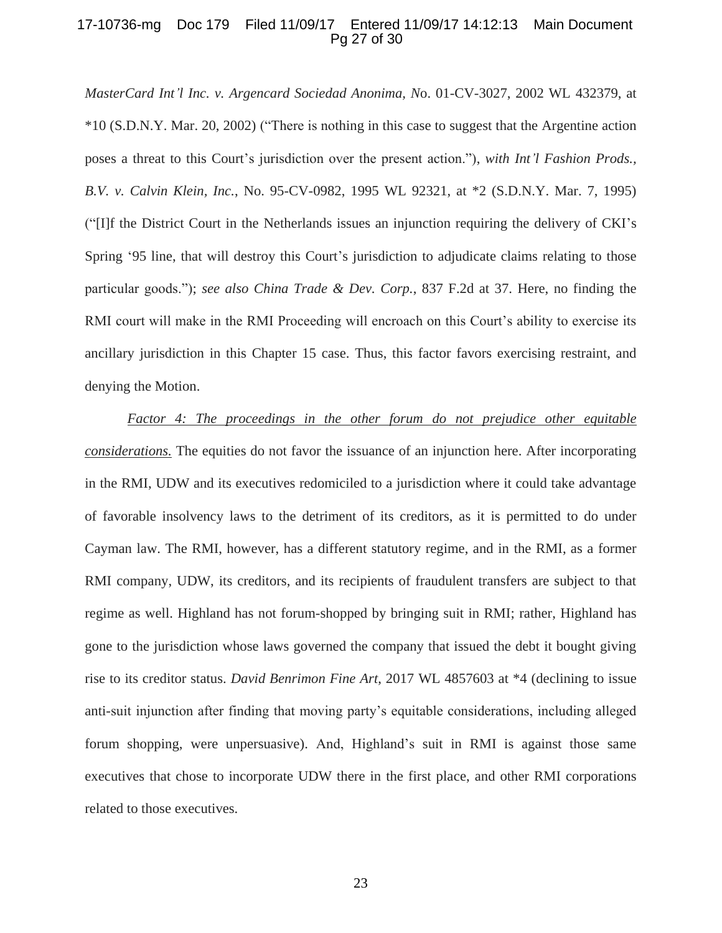### 17-10736-mg Doc 179 Filed 11/09/17 Entered 11/09/17 14:12:13 Main Document Pg 27 of 30

*MasterCard Int'l Inc. v. Argencard Sociedad Anonima, N*o. 01-CV-3027, 2002 WL 432379, at \*10 (S.D.N.Y. Mar. 20, 2002) ("There is nothing in this case to suggest that the Argentine action poses a threat to this Court's jurisdiction over the present action."), *with Int'l Fashion Prods., B.V. v. Calvin Klein, Inc.*, No. 95-CV-0982, 1995 WL 92321, at \*2 (S.D.N.Y. Mar. 7, 1995) ("[I]f the District Court in the Netherlands issues an injunction requiring the delivery of CKI's Spring '95 line, that will destroy this Court's jurisdiction to adjudicate claims relating to those particular goods."); *see also China Trade & Dev. Corp.*, 837 F.2d at 37. Here, no finding the RMI court will make in the RMI Proceeding will encroach on this Court's ability to exercise its ancillary jurisdiction in this Chapter 15 case. Thus, this factor favors exercising restraint, and denying the Motion.

*Factor 4: The proceedings in the other forum do not prejudice other equitable considerations.* The equities do not favor the issuance of an injunction here. After incorporating in the RMI, UDW and its executives redomiciled to a jurisdiction where it could take advantage of favorable insolvency laws to the detriment of its creditors, as it is permitted to do under Cayman law. The RMI, however, has a different statutory regime, and in the RMI, as a former RMI company, UDW, its creditors, and its recipients of fraudulent transfers are subject to that regime as well. Highland has not forum-shopped by bringing suit in RMI; rather, Highland has gone to the jurisdiction whose laws governed the company that issued the debt it bought giving rise to its creditor status. *David Benrimon Fine Art*, 2017 WL 4857603 at \*4 (declining to issue anti-suit injunction after finding that moving party's equitable considerations, including alleged forum shopping, were unpersuasive). And, Highland's suit in RMI is against those same executives that chose to incorporate UDW there in the first place, and other RMI corporations related to those executives.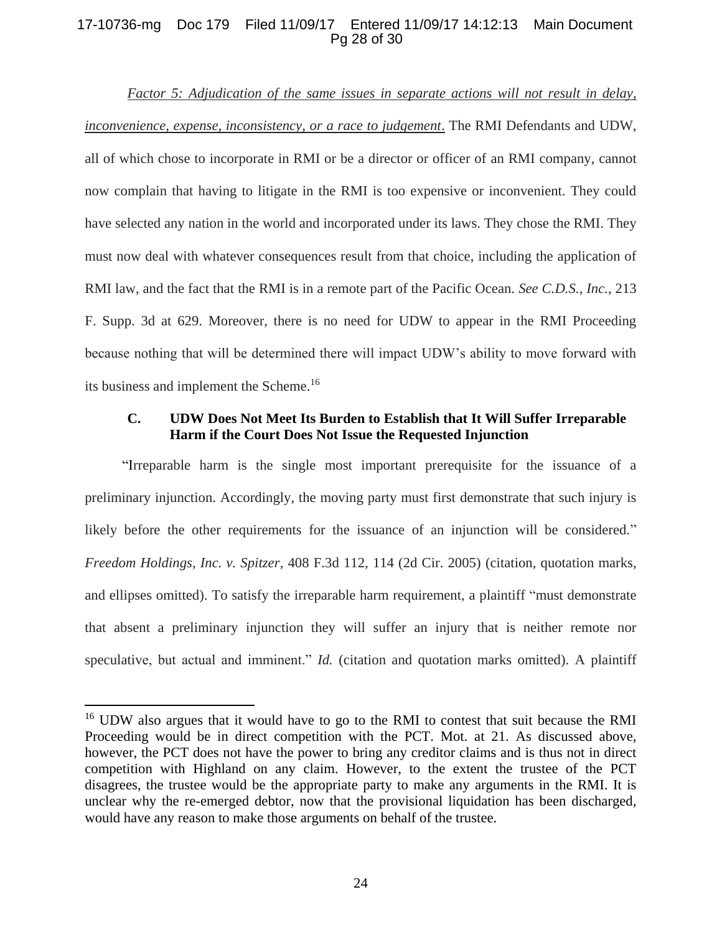## 17-10736-mg Doc 179 Filed 11/09/17 Entered 11/09/17 14:12:13 Main Document Pg 28 of 30

*Factor 5: Adjudication of the same issues in separate actions will not result in delay, inconvenience, expense, inconsistency, or a race to judgement*. The RMI Defendants and UDW, all of which chose to incorporate in RMI or be a director or officer of an RMI company, cannot now complain that having to litigate in the RMI is too expensive or inconvenient. They could have selected any nation in the world and incorporated under its laws. They chose the RMI. They must now deal with whatever consequences result from that choice, including the application of RMI law, and the fact that the RMI is in a remote part of the Pacific Ocean. *See C.D.S., Inc.*, 213 F. Supp. 3d at 629. Moreover, there is no need for UDW to appear in the RMI Proceeding because nothing that will be determined there will impact UDW's ability to move forward with its business and implement the Scheme.<sup>16</sup>

### <span id="page-27-0"></span>**C. UDW Does Not Meet Its Burden to Establish that It Will Suffer Irreparable Harm if the Court Does Not Issue the Requested Injunction**

"Irreparable harm is the single most important prerequisite for the issuance of a preliminary injunction. Accordingly, the moving party must first demonstrate that such injury is likely before the other requirements for the issuance of an injunction will be considered." *Freedom Holdings, Inc. v. Spitzer*, 408 F.3d 112, 114 (2d Cir. 2005) (citation, quotation marks, and ellipses omitted). To satisfy the irreparable harm requirement, a plaintiff "must demonstrate that absent a preliminary injunction they will suffer an injury that is neither remote nor speculative, but actual and imminent." *Id.* (citation and quotation marks omitted). A plaintiff

 $\overline{a}$ 

<sup>&</sup>lt;sup>16</sup> UDW also argues that it would have to go to the RMI to contest that suit because the RMI Proceeding would be in direct competition with the PCT. Mot. at 21. As discussed above, however, the PCT does not have the power to bring any creditor claims and is thus not in direct competition with Highland on any claim. However, to the extent the trustee of the PCT disagrees, the trustee would be the appropriate party to make any arguments in the RMI. It is unclear why the re-emerged debtor, now that the provisional liquidation has been discharged, would have any reason to make those arguments on behalf of the trustee.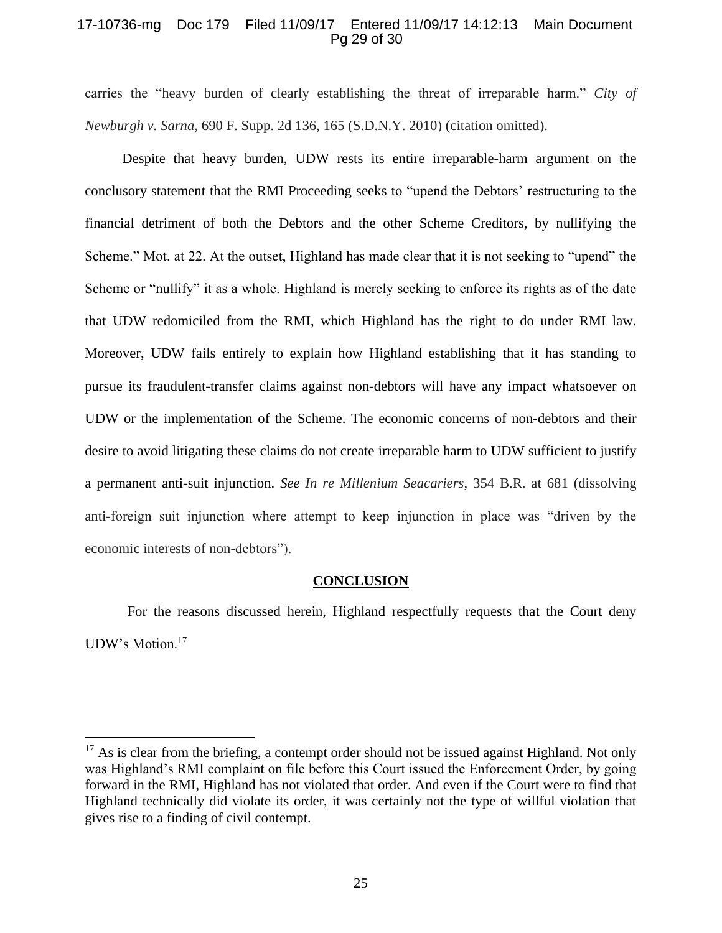### 17-10736-mg Doc 179 Filed 11/09/17 Entered 11/09/17 14:12:13 Main Document Pg 29 of 30

carries the "heavy burden of clearly establishing the threat of irreparable harm." *City of Newburgh v. Sarna*, 690 F. Supp. 2d 136, 165 (S.D.N.Y. 2010) (citation omitted).

Despite that heavy burden, UDW rests its entire irreparable-harm argument on the conclusory statement that the RMI Proceeding seeks to "upend the Debtors' restructuring to the financial detriment of both the Debtors and the other Scheme Creditors, by nullifying the Scheme." Mot. at 22. At the outset, Highland has made clear that it is not seeking to "upend" the Scheme or "nullify" it as a whole. Highland is merely seeking to enforce its rights as of the date that UDW redomiciled from the RMI, which Highland has the right to do under RMI law. Moreover, UDW fails entirely to explain how Highland establishing that it has standing to pursue its fraudulent-transfer claims against non-debtors will have any impact whatsoever on UDW or the implementation of the Scheme. The economic concerns of non-debtors and their desire to avoid litigating these claims do not create irreparable harm to UDW sufficient to justify a permanent anti-suit injunction. *See In re Millenium Seacariers*, 354 B.R. at 681 (dissolving anti-foreign suit injunction where attempt to keep injunction in place was "driven by the economic interests of non-debtors").

### **CONCLUSION**

<span id="page-28-0"></span>For the reasons discussed herein, Highland respectfully requests that the Court deny UDW's Motion.<sup>17</sup>

 $17$  As is clear from the briefing, a contempt order should not be issued against Highland. Not only was Highland's RMI complaint on file before this Court issued the Enforcement Order, by going forward in the RMI, Highland has not violated that order. And even if the Court were to find that Highland technically did violate its order, it was certainly not the type of willful violation that gives rise to a finding of civil contempt.